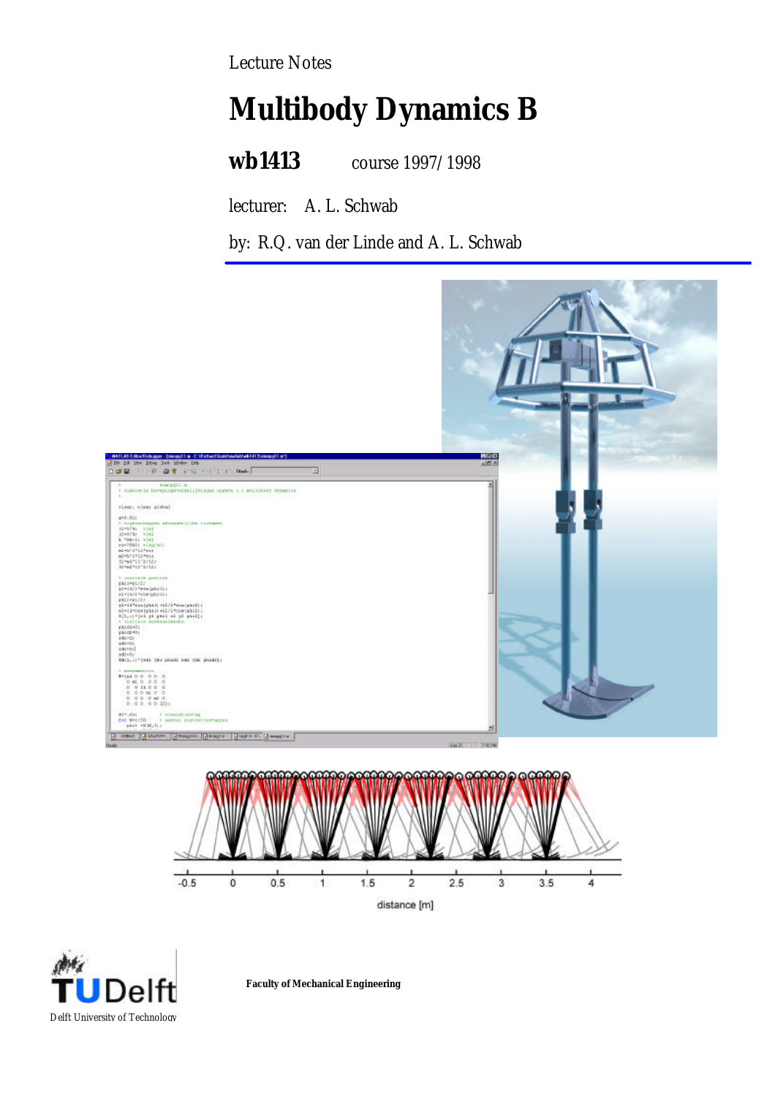Lecture Notes

# **Multibody Dynamics B**

**wb1413** course 1997/1998

lecturer: A. L. Schwab

by: R.Q. van der Linde and A. L. Schwab



 $\mathbf{a}$ Delft University of Technology

**Faculty of Mechanical Engineering**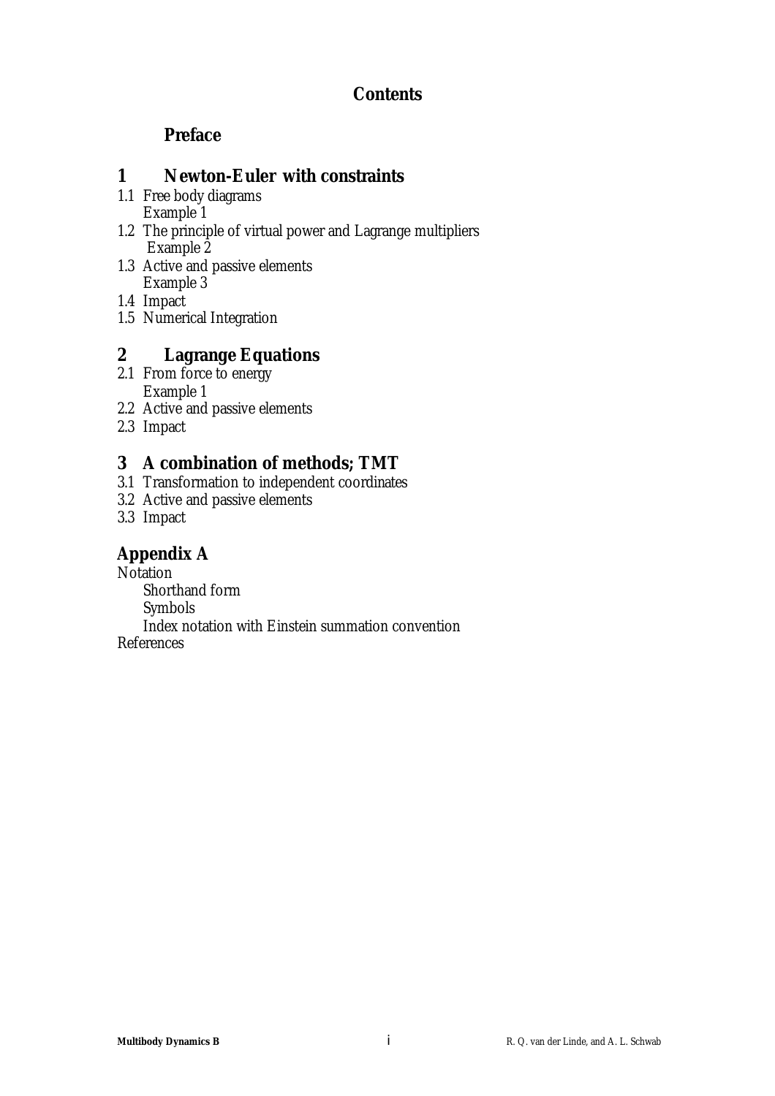## **Contents**

## **Preface**

## **1 Newton-Euler with constraints**

- 1.1 Free body diagrams Example 1
- 1.2 The principle of virtual power and Lagrange multipliers Example 2
- 1.3 Active and passive elements Example 3
- 1.4 Impact
- 1.5 Numerical Integration

## **2 Lagrange Equations**

- 2.1 From force to energy Example 1
- 2.2 Active and passive elements
- 2.3 Impact

## **3 A combination of methods; TMT**

- 3.1 Transformation to independent coordinates
- 3.2 Active and passive elements
- 3.3 Impact

## **Appendix A**

Notation Shorthand form Symbols

Index notation with Einstein summation convention References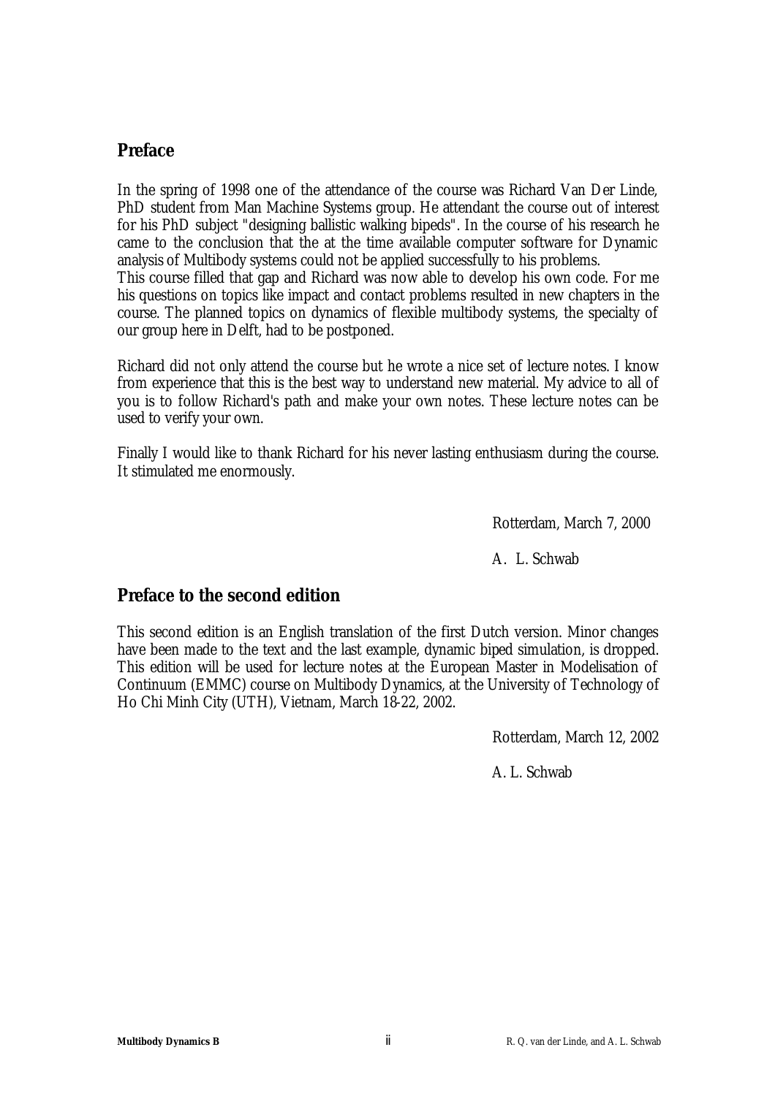## **Preface**

In the spring of 1998 one of the attendance of the course was Richard Van Der Linde, PhD student from Man Machine Systems group. He attendant the course out of interest for his PhD subject "designing ballistic walking bipeds". In the course of his research he came to the conclusion that the at the time available computer software for Dynamic analysis of Multibody systems could not be applied successfully to his problems. This course filled that gap and Richard was now able to develop his own code. For me his questions on topics like impact and contact problems resulted in new chapters in the course. The planned topics on dynamics of flexible multibody systems, the specialty of our group here in Delft, had to be postponed.

Richard did not only attend the course but he wrote a nice set of lecture notes. I know from experience that this is the best way to understand new material. My advice to all of you is to follow Richard's path and make your own notes. These lecture notes can be used to verify your own.

Finally I would like to thank Richard for his never lasting enthusiasm during the course. It stimulated me enormously.

Rotterdam, March 7, 2000

A. L. Schwab

## **Preface to the second edition**

This second edition is an English translation of the first Dutch version. Minor changes have been made to the text and the last example, dynamic biped simulation, is dropped. This edition will be used for lecture notes at the European Master in Modelisation of Continuum (EMMC) course on Multibody Dynamics, at the University of Technology of Ho Chi Minh City (UTH), Vietnam, March 18-22, 2002.

Rotterdam, March 12, 2002

A. L. Schwab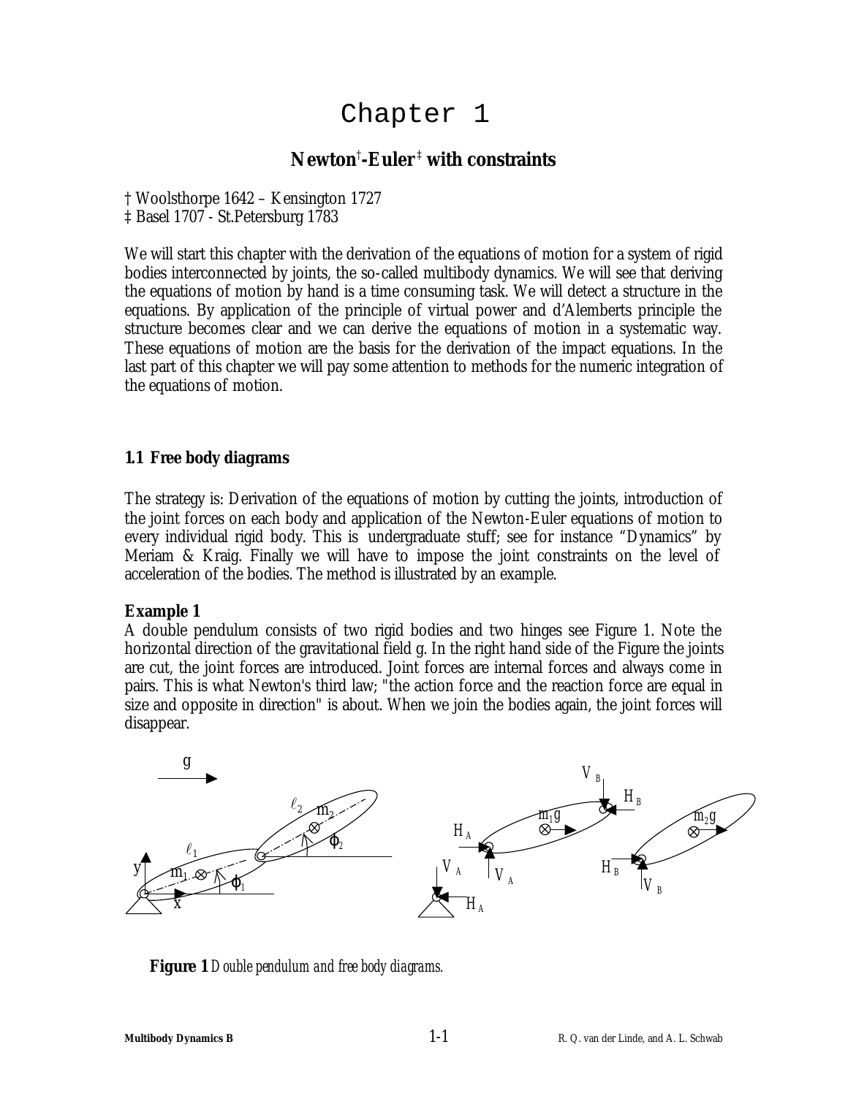## Chapter 1

## **Newton**† **-Euler** ‡  **with constraints**

† Woolsthorpe 1642 – Kensington 1727

‡ Basel 1707 - St.Petersburg 1783

We will start this chapter with the derivation of the equations of motion for a system of rigid bodies interconnected by joints, the so-called multibody dynamics. We will see that deriving the equations of motion by hand is a time consuming task. We will detect a structure in the equations. By application of the principle of virtual power and d'Alemberts principle the structure becomes clear and we can derive the equations of motion in a systematic way. These equations of motion are the basis for the derivation of the impact equations. In the last part of this chapter we will pay some attention to methods for the numeric integration of the equations of motion.

## **1.1 Free body diagrams**

The strategy is: Derivation of the equations of motion by cutting the joints, introduction of the joint forces on each body and application of the Newton-Euler equations of motion to every individual rigid body. This is undergraduate stuff; see for instance "Dynamics" by Meriam & Kraig. Finally we will have to impose the joint constraints on the level of acceleration of the bodies. The method is illustrated by an example.

## **Example 1**

A double pendulum consists of two rigid bodies and two hinges see Figure 1. Note the horizontal direction of the gravitational field g. In the right hand side of the Figure the joints are cut, the joint forces are introduced. Joint forces are internal forces and always come in pairs. This is what Newton's third law; "the action force and the reaction force are equal in size and opposite in direction" is about. When we join the bodies again, the joint forces will disappear.



**Figure 1** *Double pendulum and free body diagrams.*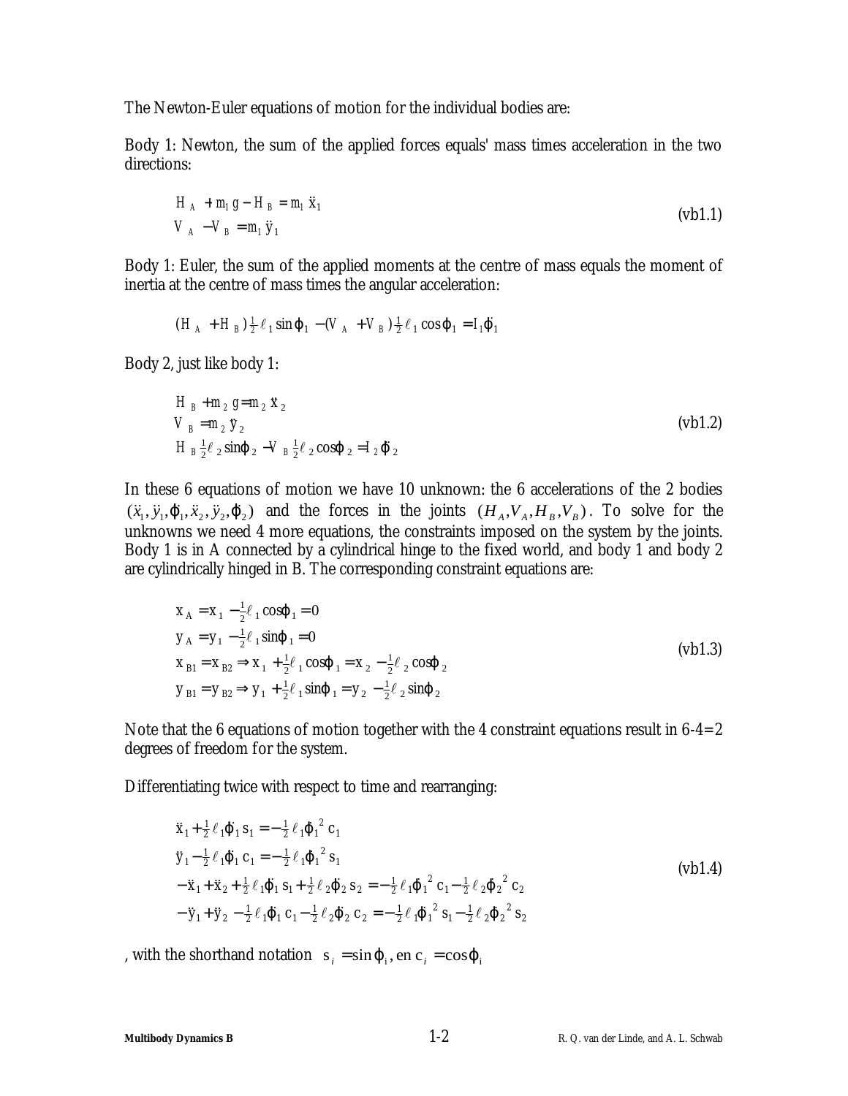The Newton-Euler equations of motion for the individual bodies are:

Body 1: Newton, the sum of the applied forces equals' mass times acceleration in the two directions:

$$
H_A + m_1 g - H_B = m_1 \ddot{x}_1
$$
  
\n
$$
V_A - V_B = m_1 \ddot{y}_1
$$
 (vb1.1)

Body 1: Euler, the sum of the applied moments at the centre of mass equals the moment of inertia at the centre of mass times the angular acceleration:

$$
(H_A + H_B) \frac{1}{2} \ell_1 \sin j_1 - (V_A + V_B) \frac{1}{2} \ell_1 \cos j_1 = I_j j_1
$$

Body 2, just like body 1:

$$
H_B + m_2 g = m_2 \ddot{x}_2
$$
  
\n
$$
V_B = m_2 \ddot{y}_2
$$
  
\n
$$
H_B \frac{1}{2} \ell_2 \sin j_2 - V_B \frac{1}{2} \ell_2 \cos j_2 = I_2 j_2
$$
  
\n
$$
(vb1.2)
$$

In these 6 equations of motion we have 10 unknown: the 6 accelerations of the 2 bodies  $(\ddot{x}_1, \ddot{y}_1, \ddot{J}_1, \ddot{x}_2, \ddot{y}_2, \ddot{J}_2)$  and the forces in the joints  $(H_A, V_A, H_B, V_B)$ . To solve for the unknowns we need 4 more equations, the constraints imposed on the system by the joints. Body 1 is in A connected by a cylindrical hinge to the fixed world, and body 1 and body 2 are cylindrically hinged in B. The corresponding constraint equations are:

$$
\mathbf{x}_{\text{A}} = \mathbf{x}_{1} - \frac{1}{2} \ell_{1} \cos \mathbf{j}_{1} = 0
$$
\n
$$
\mathbf{y}_{\text{A}} = \mathbf{y}_{1} - \frac{1}{2} \ell_{1} \sin \mathbf{j}_{1} = 0
$$
\n
$$
\mathbf{x}_{\text{B1}} = \mathbf{x}_{\text{B2}} \Rightarrow \mathbf{x}_{1} + \frac{1}{2} \ell_{1} \cos \mathbf{j}_{1} = \mathbf{x}_{2} - \frac{1}{2} \ell_{2} \cos \mathbf{j}_{2}
$$
\n
$$
\mathbf{y}_{\text{B1}} = \mathbf{y}_{\text{B2}} \Rightarrow \mathbf{y}_{1} + \frac{1}{2} \ell_{1} \sin \mathbf{j}_{1} = \mathbf{y}_{2} - \frac{1}{2} \ell_{2} \sin \mathbf{j}_{2}
$$
\n(vbl1.3)

Note that the 6 equations of motion together with the 4 constraint equations result in  $6-4=2$ degrees of freedom for the system.

Differentiating twice with respect to time and rearranging:

$$
\ddot{x}_1 + \frac{1}{2} \ell \, \vec{J}_1 \, s_1 = -\frac{1}{2} \ell \, \vec{J}_1^2 \, c_1
$$
\n
$$
\ddot{y}_1 - \frac{1}{2} \ell \, \vec{J}_1 \, c_1 = -\frac{1}{2} \ell \, \vec{J}_1^2 \, s_1
$$
\n
$$
-\ddot{x}_1 + \ddot{x}_2 + \frac{1}{2} \ell \, \vec{J}_1 \, s_1 + \frac{1}{2} \ell \, \vec{J}_2 \, s_2 = -\frac{1}{2} \ell \, \vec{J}_1^2 \, c_1 - \frac{1}{2} \ell \, \vec{J}_2^2 \, c_2
$$
\n
$$
-\ddot{y}_1 + \ddot{y}_2 - \frac{1}{2} \ell \, \vec{J}_1 \, c_1 - \frac{1}{2} \ell \, \vec{J}_2 \, c_2 = -\frac{1}{2} \ell \, \vec{J}_1^2 \, s_1 - \frac{1}{2} \ell \, \vec{J}_2^2 \, s_2
$$
\n(vbl.4)

, with the shorthand notation  $s_i = sin j$ , en  $c_i = cos j$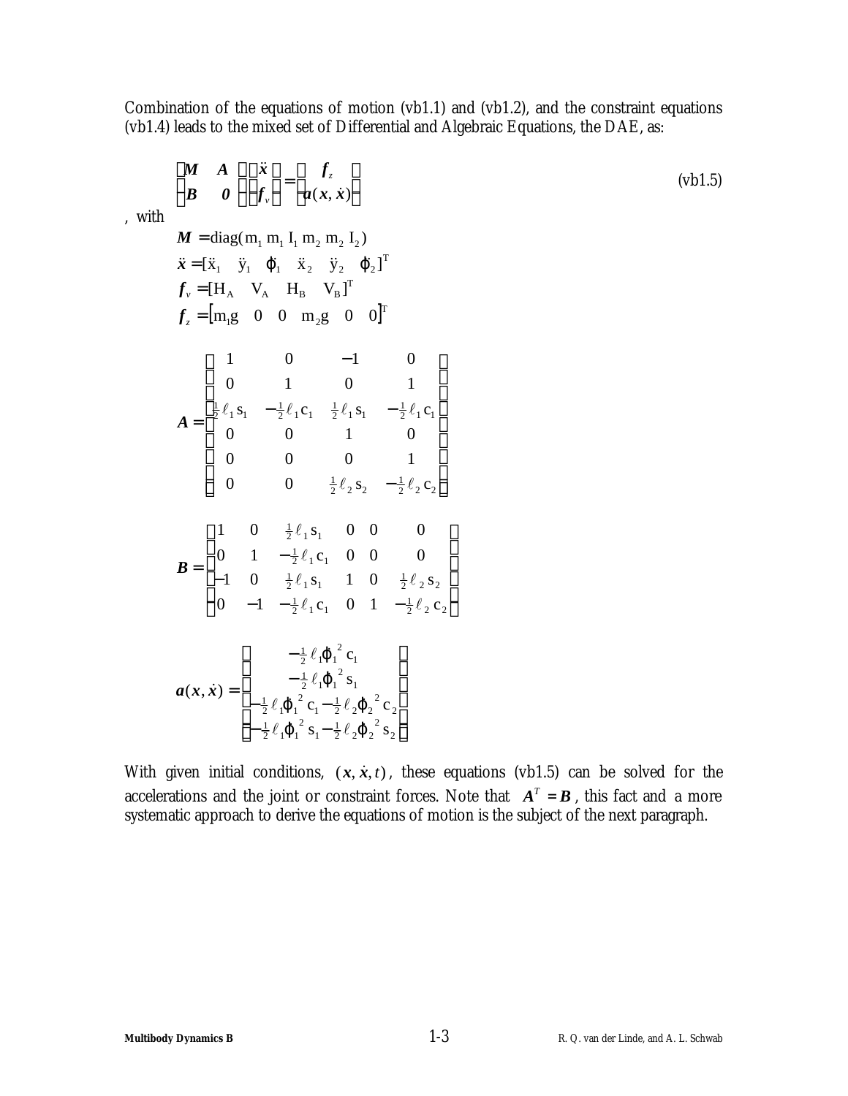Combination of the equations of motion (vb1.1) and (vb1.2), and the constraint equations (vb1.4) leads to the mixed set of Differential and Algebraic Equations, the DAE, as:

$$
\begin{bmatrix}\nM & A \\
B & 0\n\end{bmatrix}\n\begin{bmatrix}\n\ddot{x} \\
f_{v}\n\end{bmatrix} =\n\begin{bmatrix}\nf_{z} \\
a(x, \dot{x})\n\end{bmatrix}
$$
\n(vbl.5)

\n
$$
\ddot{x} = [\ddot{x}_{1} \quad \ddot{y}_{1} \quad \ddot{f}_{1} \quad \ddot{x}_{2} \quad \ddot{y}_{2} \quad \ddot{f}_{2}]^{T}
$$
\n
$$
\ddot{x} = [\ddot{x}_{1} \quad \ddot{y}_{1} \quad \ddot{f}_{1} \quad \ddot{x}_{2} \quad \ddot{y}_{2} \quad \ddot{f}_{2}]^{T}
$$
\n
$$
f_{z} = [\text{m}_{1} \quad \text{V}_{A} \quad \text{H}_{B} \quad \text{V}_{B}]^{T}
$$
\n
$$
f_{z} = [\text{m}_{1} \quad \text{O} \quad \text{O} \quad \text{m}_{2} \quad \text{O} \quad \text{O}]^{T}
$$
\n
$$
A = \begin{bmatrix}\n1 & 0 & -1 & 0 \\
0 & 1 & 0 & 1 \\
\frac{1}{2}\ell_{1} \, \text{s}_{1} & -\frac{1}{2}\ell_{1} \, \text{c}_{1} & \frac{1}{2}\ell_{1} \, \text{s}_{1} & -\frac{1}{2}\ell_{1} \, \text{c}_{1} \\
0 & 0 & 1 & 0 \\
0 & 0 & 0 & 1 \\
0 & 0 & \frac{1}{2}\ell_{2} \, \text{s}_{2} & -\frac{1}{2}\ell_{2} \, \text{c}_{2}\n\end{bmatrix}
$$
\n
$$
B = \begin{bmatrix}\n1 & 0 & \frac{1}{2}\ell_{1} \, \text{s}_{1} & 0 & 0 & 0 \\
0 & 1 & -\frac{1}{2}\ell_{1} \, \text{s}_{1} & 0 & 0 & 0 \\
0 & 1 & -\frac{1}{2}\ell_{1} \, \text{s}_{1} & 1 & 0 & \frac{1}{2}\ell_{2} \, \text{s}_{2} \\
0 & -1 & -\frac{1}{2}\ell_{1} \, \text{s}_{1} & 1 & 0 & \frac{1}{2}\ell_{2} \, \text{s}_{2}\n\end{bmatrix}
$$
\n
$$
a(x, \dot{x}) = \begin{
$$

With given initial conditions,  $(x, \dot{x}, t)$ , these equations (vb1.5) can be solved for the accelerations and the joint or constraint forces. Note that  $A<sup>T</sup> = B$ , this fact and a more systematic approach to derive the equations of motion is the subject of the next paragraph.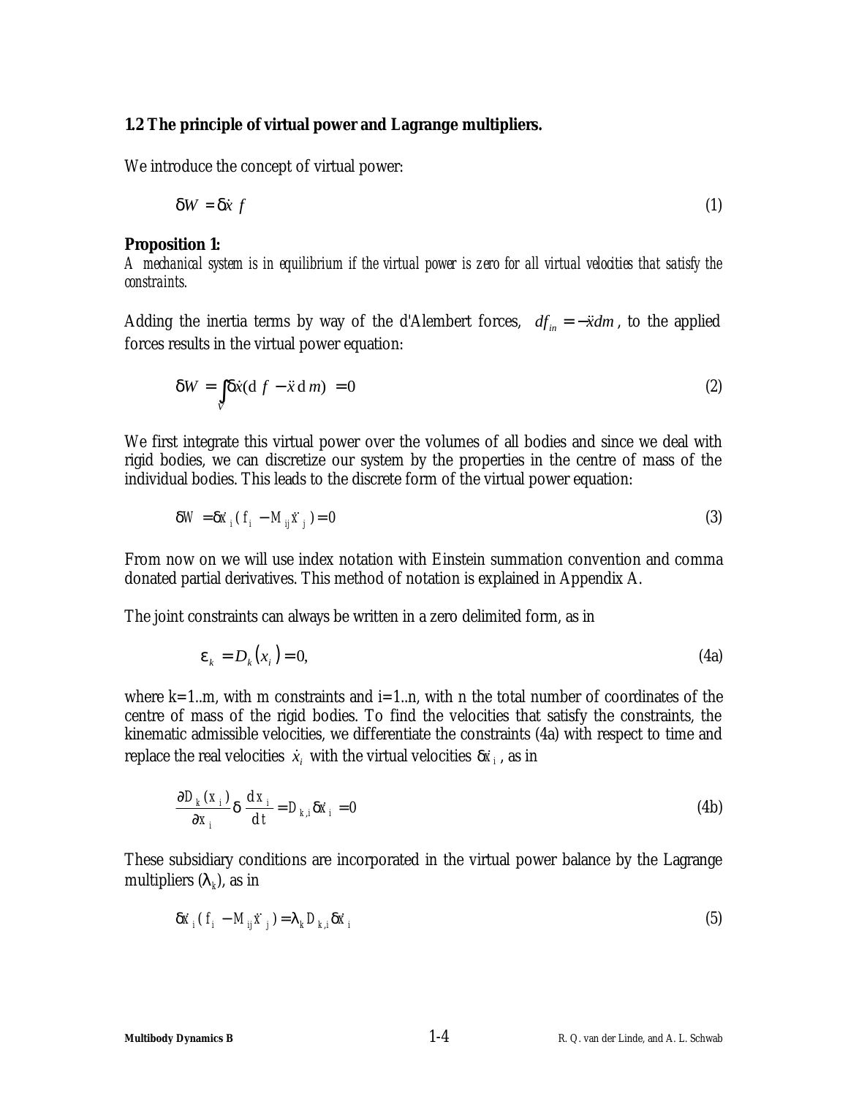### **1.2 The principle of virtual power and Lagrange multipliers.**

We introduce the concept of virtual power:

$$
dW = dx f \tag{1}
$$

### *Proposition 1:*

*A mechanical system is in equilibrium if the virtual power is zero for all virtual velocities that satisfy the constraints.*

Adding the inertia terms by way of the d'Alembert forces,  $df_{in} = -\ddot{x}dm$ , to the applied forces results in the virtual power equation:

$$
dW = \int\limits_V dx \, \mathrm{d}t \, \mathrm{d}t \, f - \ddot{x} \, \mathrm{d}m \, \mathrm{d}m = 0 \tag{2}
$$

We first integrate this virtual power over the volumes of all bodies and since we deal with rigid bodies, we can discretize our system by the properties in the centre of mass of the individual bodies. This leads to the discrete form of the virtual power equation:

$$
dW = dx_i (f_i - M_{ij} \ddot{x}_j) = 0
$$
\n(3)

From now on we will use index notation with Einstein summation convention and comma donated partial derivatives. This method of notation is explained in Appendix A.

The joint constraints can always be written in a zero delimited form, as in

$$
\boldsymbol{e}_k = D_k(x_i) = 0,\tag{4a}
$$

where  $k=1..m$ , with m constraints and  $i=1..n$ , with n the total number of coordinates of the centre of mass of the rigid bodies. To find the velocities that satisfy the constraints, the kinematic admissible velocities, we differentiate the constraints (4a) with respect to time and replace the real velocities  $\dot{x}_i$  with the virtual velocities  $\boldsymbol{d}\dot{x}_i$  , as in

$$
\frac{\partial D_k(x_i)}{\partial x_i} \mathbf{d} \frac{\mathrm{d} x_i}{\mathrm{d} t} = D_{k,i} \mathbf{d} \dot{x}_i = 0 \tag{4b}
$$

These subsidiary conditions are incorporated in the virtual power balance by the Lagrange multipliers  $(\lambda_{\scriptscriptstyle k}\!)$ , as in

$$
\mathbf{d}\dot{\mathbf{x}}_i \left( \mathbf{f}_i - M_{ij} \ddot{\mathbf{x}}_j \right) = \mathbf{I}_k D_{k,i} \mathbf{d}\dot{\mathbf{x}}_i \tag{5}
$$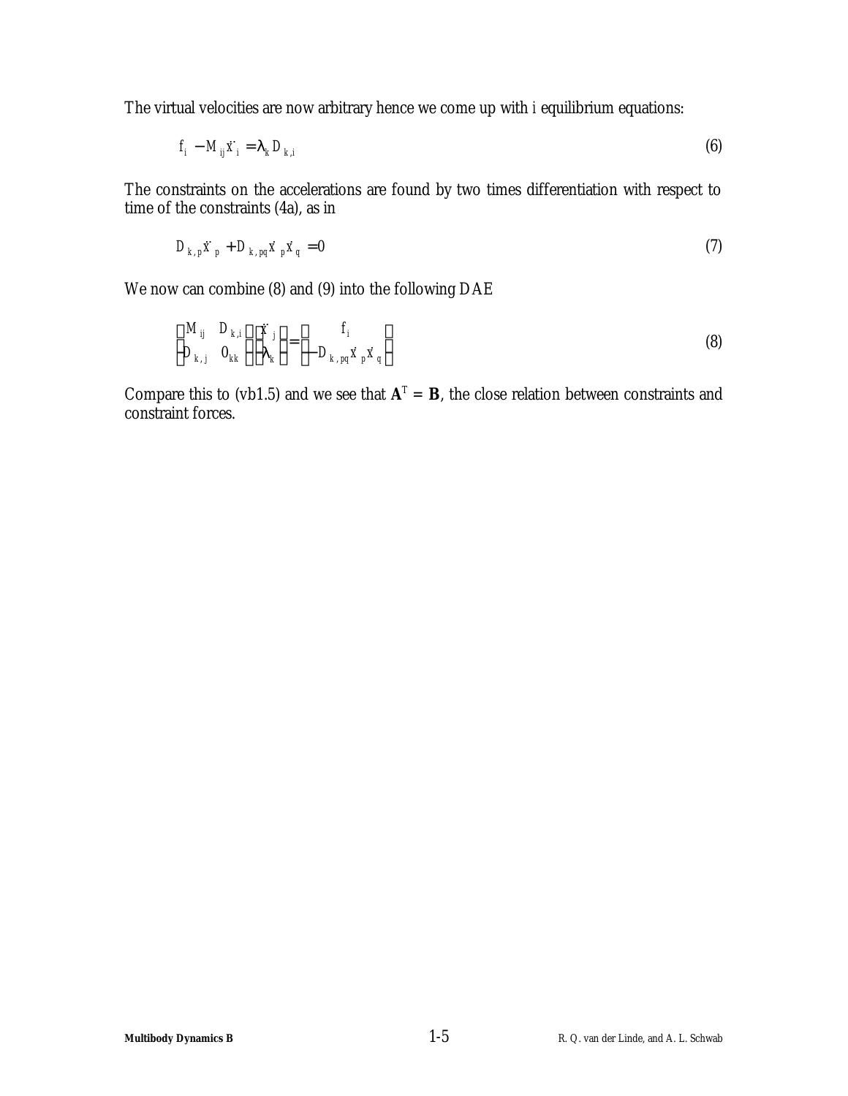The virtual velocities are now arbitrary hence we come up with *i* equilibrium equations:

$$
f_i - M_{ij} \ddot{x}_i = I_k D_{k,i}
$$
 (6)

The constraints on the accelerations are found by two times differentiation with respect to time of the constraints (4a), as in

$$
D_{k,p}\ddot{x}_p + D_{k,pq}\dot{x}_p\dot{x}_q = 0 \tag{7}
$$

We now can combine (8) and (9) into the following DAE

$$
\begin{bmatrix} M_{ij} & D_{k,i} \\ D_{k,j} & 0_{kk} \end{bmatrix} \begin{bmatrix} \ddot{x}_j \\ I_k \end{bmatrix} = \begin{bmatrix} f_i \\ -D_{k, pq} \dot{x}_p \dot{x}_q \end{bmatrix}
$$
 (8)

Compare this to (vb1.5) and we see that  $A<sup>T</sup> = B$ , the close relation between constraints and constraint forces.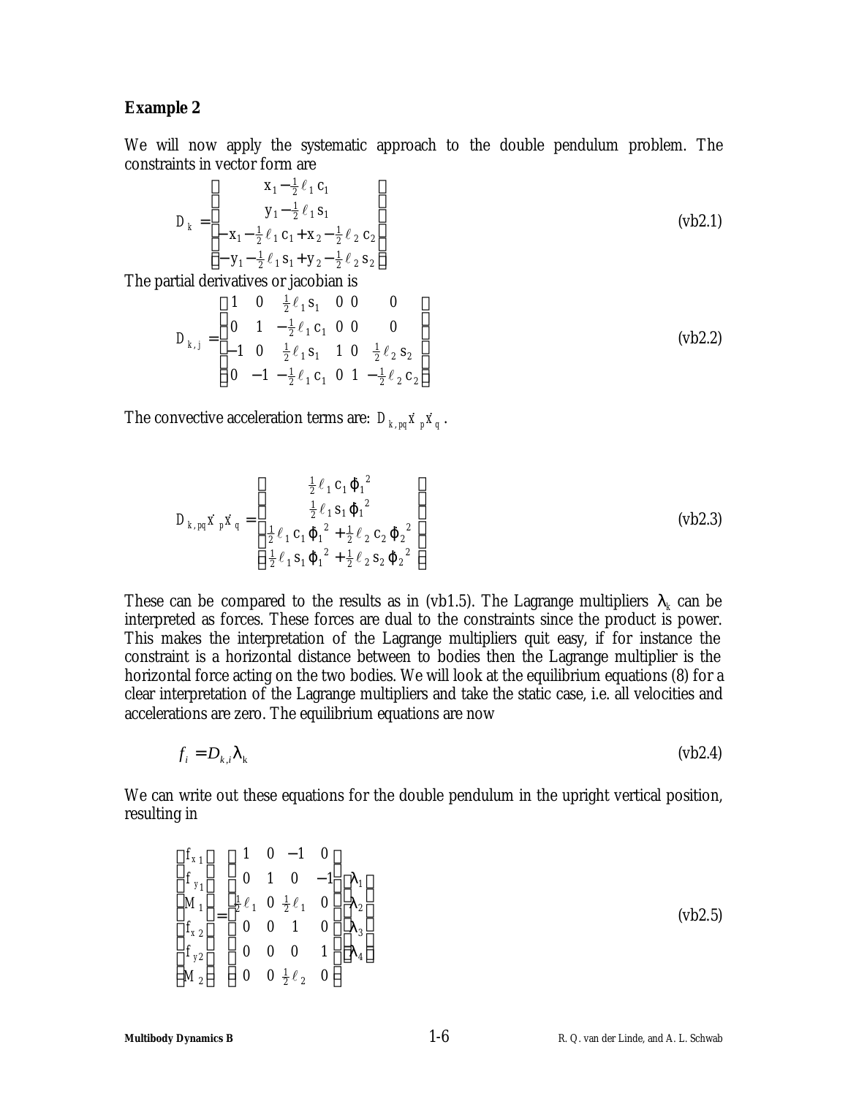### **Example 2**

We will now apply the systematic approach to the double pendulum problem. The constraints in vector form are

$$
D_k = \begin{bmatrix} x_1 - \frac{1}{2} \ell_1 c_1 \\ y_1 - \frac{1}{2} \ell_1 s_1 \\ -x_1 - \frac{1}{2} \ell_1 c_1 + x_2 - \frac{1}{2} \ell_2 c_2 \\ -y_1 - \frac{1}{2} \ell_1 s_1 + y_2 - \frac{1}{2} \ell_2 s_2 \end{bmatrix}
$$
 (vb2.1)

The partial derivatives or jacobian is

$$
D_{k,j} = \begin{bmatrix} 1 & 0 & \frac{1}{2}\ell_1 \mathbf{s}_1 & 0 & 0 & 0 \\ 0 & 1 & -\frac{1}{2}\ell_1 \mathbf{c}_1 & 0 & 0 & 0 \\ -1 & 0 & \frac{1}{2}\ell_1 \mathbf{s}_1 & 1 & 0 & \frac{1}{2}\ell_2 \mathbf{s}_2 \\ 0 & -1 & -\frac{1}{2}\ell_1 \mathbf{c}_1 & 0 & 1 & -\frac{1}{2}\ell_2 \mathbf{c}_2 \end{bmatrix}
$$
 (vb2.2)

The convective acceleration terms are:  $D_{k, pq} \dot{x}_p \dot{x}_q$ .

$$
D_{k, pq} \dot{x}_p \dot{x}_q = \begin{bmatrix} \frac{1}{2} \ell_1 \mathbf{c}_1 \mathbf{J}_1^2 \\ \frac{1}{2} \ell_1 \mathbf{s}_1 \mathbf{J}_1^2 \\ \frac{1}{2} \ell_1 \mathbf{c}_1 \mathbf{J}_1^2 + \frac{1}{2} \ell_2 \mathbf{c}_2 \mathbf{J}_2^2 \\ \frac{1}{2} \ell_1 \mathbf{s}_1 \mathbf{J}_1^2 + \frac{1}{2} \ell_2 \mathbf{s}_2 \mathbf{J}_2^2 \end{bmatrix}
$$
 (vb2.3)

These can be compared to the results as in (vb1.5). The Lagrange multipliers  $I_k$  can be interpreted as forces. These forces are dual to the constraints since the product is power. This makes the interpretation of the Lagrange multipliers quit easy, if for instance the constraint is a horizontal distance between to bodies then the Lagrange multiplier is the horizontal force acting on the two bodies. We will look at the equilibrium equations (8) for a clear interpretation of the Lagrange multipliers and take the static case, i.e. all velocities and accelerations are zero. The equilibrium equations are now

$$
f_i = D_{k,i} I_k \tag{bb2.4}
$$

We can write out these equations for the double pendulum in the upright vertical position, resulting in

$$
\begin{bmatrix} f_{x_1} \\ f_{y_1} \\ M_1 \\ f_{x_2} \\ f_{y_2} \\ M_2 \end{bmatrix} = \begin{bmatrix} 1 & 0 & -1 & 0 \\ 0 & 1 & 0 & -1 \\ \frac{1}{2}\ell_1 & 0 & \frac{1}{2}\ell_1 & 0 \\ 0 & 0 & 1 & 0 \\ 0 & 0 & 0 & 1 \\ M_2 & 0 & 0 & \frac{1}{2}\ell_2 & 0 \end{bmatrix} \begin{bmatrix} I_1 \\ I_2 \\ I_3 \\ I_4 \end{bmatrix}
$$
 (vb2.5)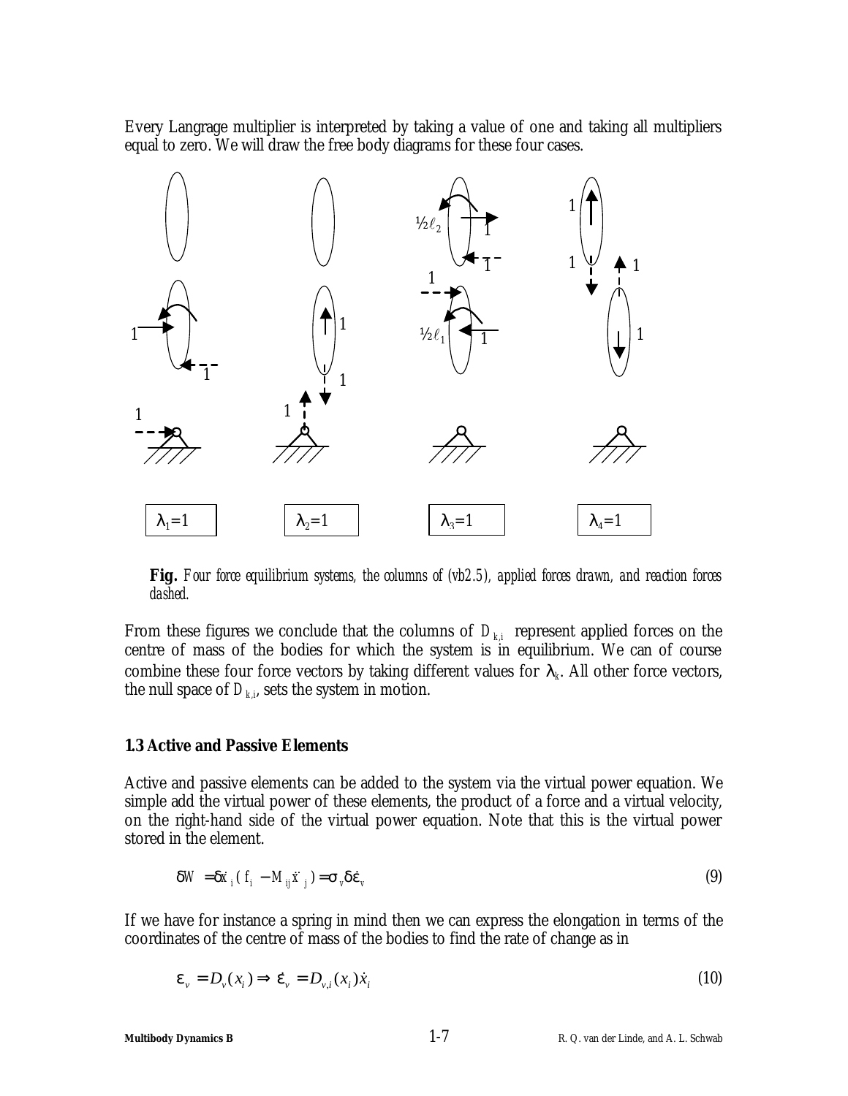Every Langrage multiplier is interpreted by taking a value of one and taking all multipliers equal to zero. We will draw the free body diagrams for these four cases.



**Fig.** *Four force equilibrium systems, the columns of (vb2.5), applied forces drawn, and reaction forces dashed.*

From these figures we conclude that the columns of  $D_{ki}$  represent applied forces on the centre of mass of the bodies for which the system is in equilibrium. We can of course combine these four force vectors by taking different values for  $I_k$ . All other force vectors, the null space of  $D_{k,i}$ , sets the system in motion.

### **1.3 Active and Passive Elements**

Active and passive elements can be added to the system via the virtual power equation. We simple add the virtual power of these elements, the product of a force and a virtual velocity, on the right-hand side of the virtual power equation. Note that this is the virtual power stored in the element.

$$
\mathbf{d}W = \mathbf{d}\dot{\mathbf{x}}_i \left( f_i - M_{ij} \ddot{\mathbf{x}}_j \right) = \mathbf{s}_v \mathbf{d}\dot{\mathbf{e}}_v \tag{9}
$$

If we have for instance a spring in mind then we can express the elongation in terms of the coordinates of the centre of mass of the bodies to find the rate of change as in

$$
\boldsymbol{e}_{v} = D_{v}(x_{i}) \Longrightarrow \dot{\boldsymbol{e}}_{v} = D_{v,i}(x_{i}) \dot{x}_{i}
$$
\n<sup>(10)</sup>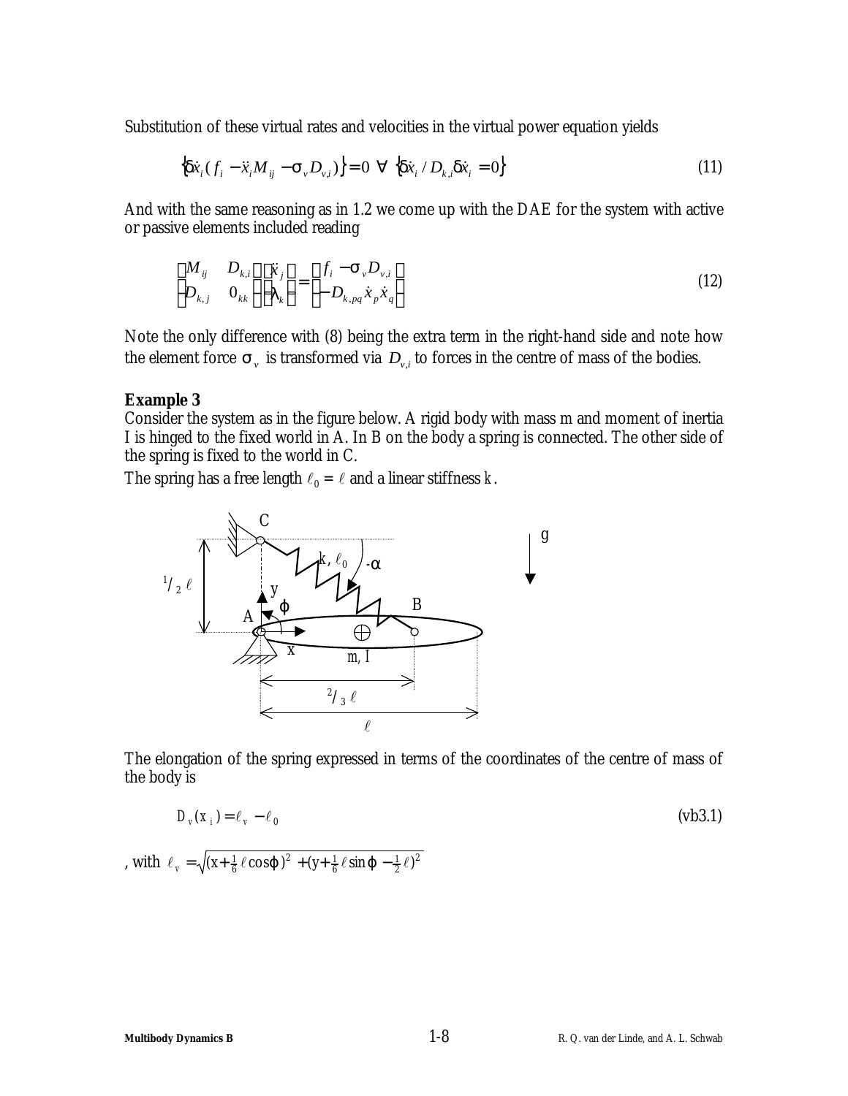Substitution of these virtual rates and velocities in the virtual power equation yields

$$
\left\{ \mathbf{d}\dot{x}_i \left( f_i - \ddot{x}_i M_{ij} - \mathbf{S}_v D_{v,i} \right) \right\} = 0 \ \forall \ \left\{ \mathbf{d}\dot{x}_i / D_{k,i} \mathbf{d}\dot{x}_i = 0 \right\} \tag{11}
$$

And with the same reasoning as in 1.2 we come up with the DAE for the system with active or passive elements included reading

$$
\begin{bmatrix} M_{ij} & D_{k,i} \\ D_{k,j} & 0_{kk} \end{bmatrix} \begin{bmatrix} \ddot{x}_j \\ I_k \end{bmatrix} = \begin{bmatrix} f_i - \mathbf{S}_{\nu} D_{\nu,i} \\ - D_{k,pq} \dot{x}_p \dot{x}_q \end{bmatrix}
$$
\n(12)

Note the only difference with (8) being the extra term in the right-hand side and note how the element force  $\mathbf{s}_y$  is transformed via  $D_{y,i}$  to forces in the centre of mass of the bodies.

### **Example 3**

Consider the system as in the figure below. A rigid body with mass m and moment of inertia I is hinged to the fixed world in A. In B on the body a spring is connected. The other side of the spring is fixed to the world in C.

The spring has a free length  $\ell_0 = \ell$  and a linear stiffness  $k$ .



The elongation of the spring expressed in terms of the coordinates of the centre of mass of the body is

$$
D_{\nu}(x_i) = \ell_{\nu} - \ell_0 \tag{63.1}
$$

, with  $\ell_{v} = \sqrt{(x + \frac{1}{6} \ell \cos j)^{2} + (y + \frac{1}{6} \ell \sin j - \frac{1}{2} \ell)^{2}}$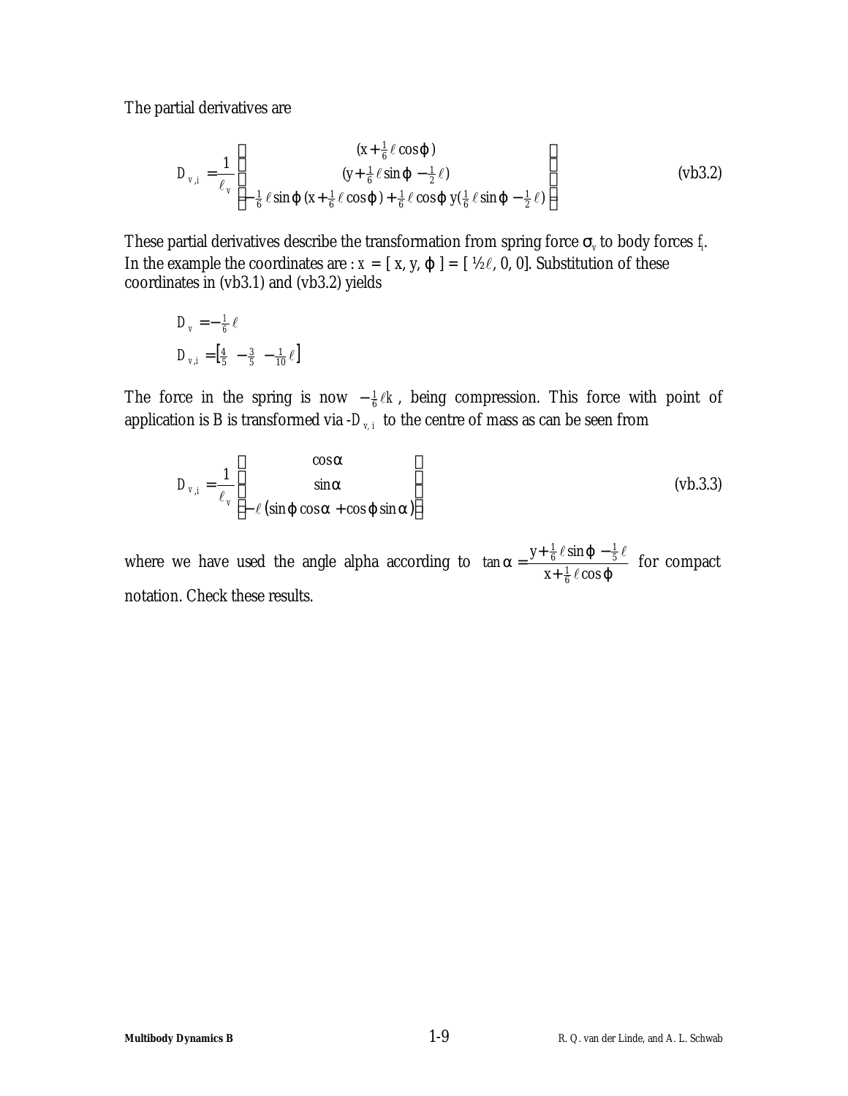The partial derivatives are

$$
D_{v,i} = \frac{1}{\ell_v} \left[ \begin{array}{cc} (x + \frac{1}{6} \ell \cos j) \\ (y + \frac{1}{6} \ell \sin j - \frac{1}{2} \ell) \\ -\frac{1}{6} \ell \sin j & (x + \frac{1}{6} \ell \cos j) + \frac{1}{6} \ell \cos j & y(\frac{1}{6} \ell \sin j - \frac{1}{2} \ell) \end{array} \right]
$$
(vb3.2)

These partial derivatives describe the transformation from spring force  $s$ <sup>*v*</sup> to body forces  $f$ <sub>*i*</sub>. In the example the coordinates are :  $x = [x, y, \varphi] = [42\ell, 0, 0]$ . Substitution of these coordinates in (vb3.1) and (vb3.2) yields

$$
D_{v} = -\frac{1}{6} \ell
$$
  

$$
D_{v,i} = \left[\frac{4}{5} - \frac{3}{5} - \frac{1}{10} \ell\right]
$$

The force in the spring is now  $-\frac{1}{6}\ell k$ , being compression. This force with point of application is B is transformed via  $-D_{v,i}$  to the centre of mass as can be seen from

$$
D_{v,i} = \frac{1}{\ell_v} \begin{bmatrix} \cos \mathbf{a} \\ \sin \mathbf{a} \\ -\ell(\sin \mathbf{j} \cos \mathbf{a} + \cos \mathbf{j} \sin \mathbf{a}) \end{bmatrix}
$$
 (vb.3.3)

where we have used the angle alpha according to  $\tan a = \frac{f + g \cos b}{x + \frac{1}{6} \ell \cos b}$  $a = \frac{y + \frac{1}{6} \ell \sin j}{1}$  $x + \frac{1}{6}\ell \cos$  $\tan a = \frac{y + \frac{1}{6} \ell \sin \ell}{1 - \ell}$  $\frac{1}{6}$  $\frac{1}{6}$   $\ell$  sin  $\boldsymbol{j}$   $-\frac{1}{5}$  $\ell$  $\ell$  sin  $j - \frac{1}{5}\ell$ +  $=\frac{y+\frac{1}{6}\ell \sin j-\frac{1}{5}\ell}{\ell}$  for compact notation. Check these results.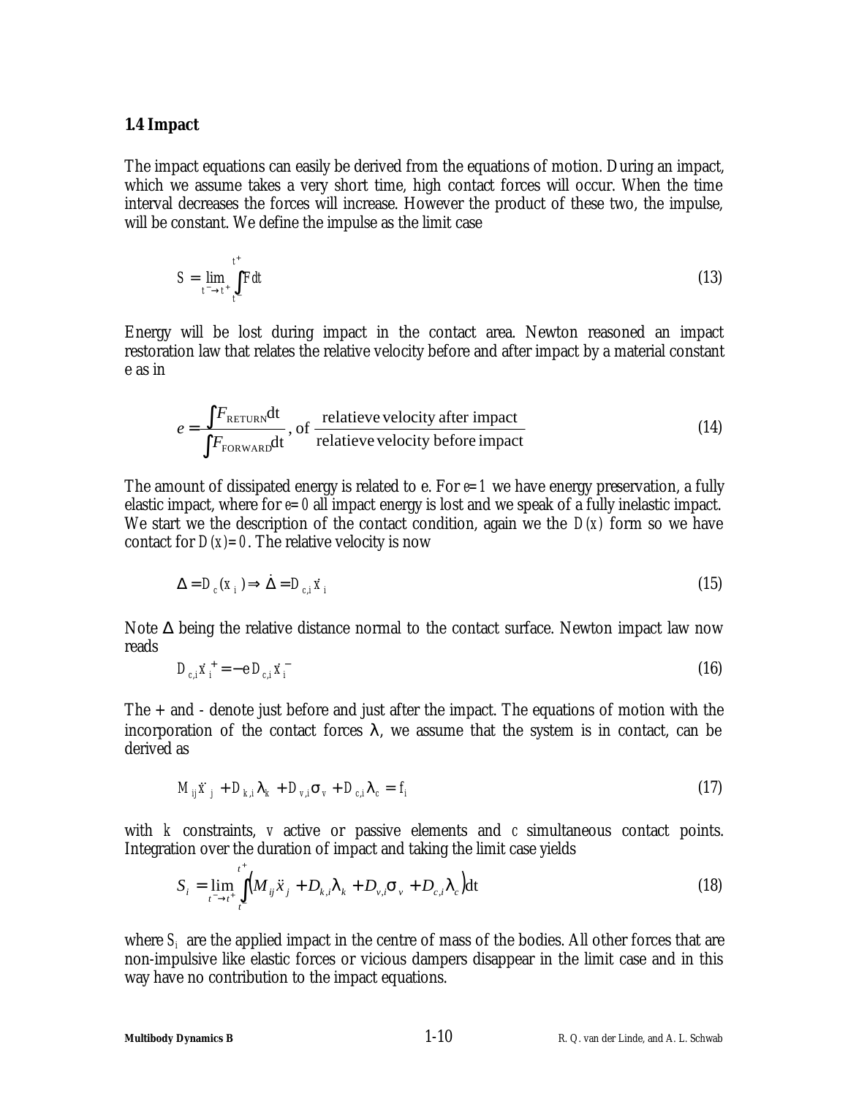### **1.4 Impact**

The impact equations can easily be derived from the equations of motion. During an impact, which we assume takes a very short time, high contact forces will occur. When the time interval decreases the forces will increase. However the product of these two, the impulse, will be constant. We define the impulse as the limit case

$$
S = \lim_{t^- \to t^+} \int_{t^-}^{t^+} F dt \tag{13}
$$

Energy will be lost during impact in the contact area. Newton reasoned an impact restoration law that relates the relative velocity before and after impact by a material constant e as in

$$
e = \frac{\int F_{\text{RETURN}} dt}{\int F_{\text{FORWARD}} dt}
$$
, of relative velocity after impact  
relactive velocity before impact (14)

The amount of dissipated energy is related to e. For  $e=1$  we have energy preservation, a fully elastic impact, where for  $e=0$  all impact energy is lost and we speak of a fully inelastic impact. We start we the description of the contact condition, again we the *D(x)* form so we have contact for  $D(x)=0$ . The relative velocity is now

$$
\Delta = D_c(x_i) \Longrightarrow \dot{\Delta} = D_{c,i} \dot{x}_i \tag{15}
$$

Note  $\Delta$  being the relative distance normal to the contact surface. Newton impact law now reads

$$
D_{c,i}\dot{x}_i^+ = -e D_{c,i}\dot{x}_i^- \tag{16}
$$

The + and - denote just before and just after the impact. The equations of motion with the incorporation of the contact forces *l*, we assume that the system is in contact, can be derived as

$$
M_{ij}\ddot{x}_j + D_{k,i}\mathbf{I}_k + D_{v,i}\mathbf{s}_v + D_{c,i}\mathbf{I}_c = f_i
$$
\n(17)

with *k* constraints, *v* active or passive elements and *c* simultaneous contact points. Integration over the duration of impact and taking the limit case yields

$$
S_{i} = \lim_{t^{-} \to t^{+}} \int_{t^{-}}^{t^{+}} \left( M_{ij} \ddot{x}_{j} + D_{k,i} I_{k} + D_{v,i} \mathbf{s}_{v} + D_{c,i} I_{c} \right) dt
$$
\n(18)

where  $S_i$  are the applied impact in the centre of mass of the bodies. All other forces that are non-impulsive like elastic forces or vicious dampers disappear in the limit case and in this way have no contribution to the impact equations.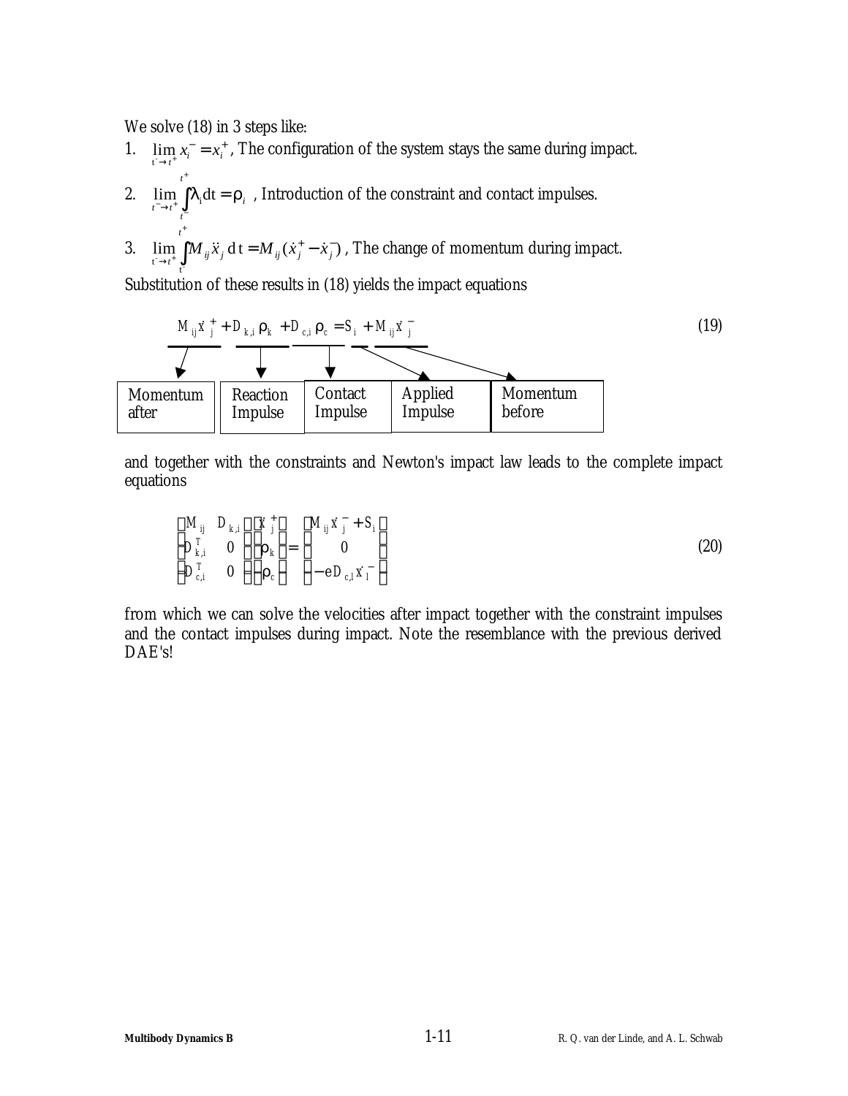We solve (18) in 3 steps like:

+

- 1.  $\lim_{x \to i^*} x_i^- = x_i^+$ , The configuration of the system stays the same during impact. *t* +
- 2.  $\lim_{t \to \infty} |I_i dt = r_i$  $\lim_{t^- \to t^+} \int_{t^-} I_i dt = r$  $\lim_{\tau \to t^+} \int I_i dt = \mathbf{r}_i$ , Introduction of the constraint and contact impulses.
- 3.  $\lim_{i} \left| M_{ii} \ddot{x}_{i} \right| dt = M_{ii} (\dot{x}_{i}^{+} \dot{x}_{i}^{-})$  $t^- \rightarrow t^+$   $\frac{J}{t^-}$ + −  $\lim_{j \to t^+} \int M_{ij} \ddot{x}_j \, dt = M_{ij} (\dot{x}_j^+ \int_i$  *j j*  $\int$  *i*<sub>j</sub>  $\int$  **i**<sub>j</sub>  $\int$   $\int$  *i*<sub>j</sub>  $\int$   $\int$  *j*  $\int$  *j*  $\int$  *j*  $\int$  *j*  $\int$  *j*  $\int$  *j*  $\int$  *j*  $\int$  *j*  $\int$  *j*  $\int$  *j*  $\int$  *j*  $\int$  *j*  $\int$  *j*  $\int$  *j*  $\int$  *j*  $\int$  *j*  $\int$  *j*  $\int$  *j t*  $\lim_{t \to t_{i^*}} \int M_{ij} \ddot{x_j} \, \mathrm{d} \, \mathrm{t} = M_{ij} (\dot{x}^+_j - \dot{x}^-_j)$  , The change of momentum during impact.

Substitution of these results in (18) yields the impact equations

| $M_{ij}\dot{x}^+_j + D_{k,i}r_k + D_{c,i}r_c = S_i + M_{ij}\dot{x}^-_j$ |          |         |                    |                     |                     |                    |
|-------------------------------------------------------------------------|----------|---------|--------------------|---------------------|---------------------|--------------------|
| Momentum after                                                          | Reaction | Contact | Applied<br>Impulse | Momentum<br>Impulse | Momentum<br>Impulse | Momentum<br>before |

and together with the constraints and Newton's impact law leads to the complete impact equations

$$
\begin{bmatrix}\nM_{ij} & D_{k,i} \\
D_{k,i}^T & 0 \\
D_{c,i}^T & 0\n\end{bmatrix}\n\begin{bmatrix}\n\dot{x}^+_j \\
\mathbf{r}_k \\
\mathbf{r}_c\n\end{bmatrix} =\n\begin{bmatrix}\nM_{ij}\dot{x}^-_j + S_i \\
0 \\
-e D_{c,i}\dot{x}^-_l\n\end{bmatrix}
$$
\n(20)

from which we can solve the velocities after impact together with the constraint impulses and the contact impulses during impact. Note the resemblance with the previous derived DAE's!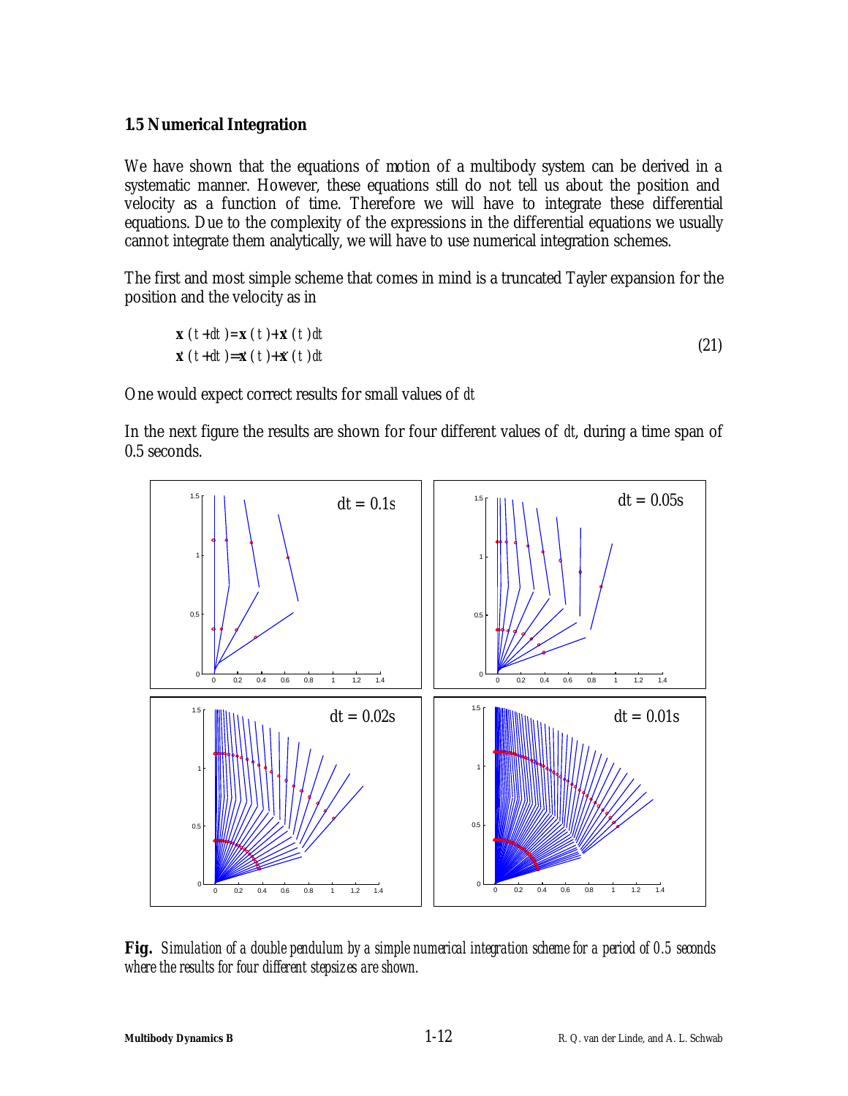### **1.5 Numerical Integration**

We have shown that the equations of motion of a multibody system can be derived in a systematic manner. However, these equations still do not tell us about the position and velocity as a function of time. Therefore we will have to integrate these differential equations. Due to the complexity of the expressions in the differential equations we usually cannot integrate them analytically, we will have to use numerical integration schemes.

The first and most simple scheme that comes in mind is a truncated Tayler expansion for the position and the velocity as in

$$
\mathbf{x} (t+dt) = \mathbf{x} (t) + \dot{\mathbf{x}} (t) dt
$$
  
\n
$$
\dot{\mathbf{x}} (t+dt) = \dot{\mathbf{x}} (t) + \dot{\mathbf{x}} (t) dt
$$
\n(21)

One would expect correct results for small values of *dt*

In the next figure the results are shown for four different values of *dt*, during a time span of 0.5 seconds.



**Fig.** *Simulation of a double pendulum by a simple numerical integration scheme for a period of 0.5 seconds where the results for four different stepsizes are shown.*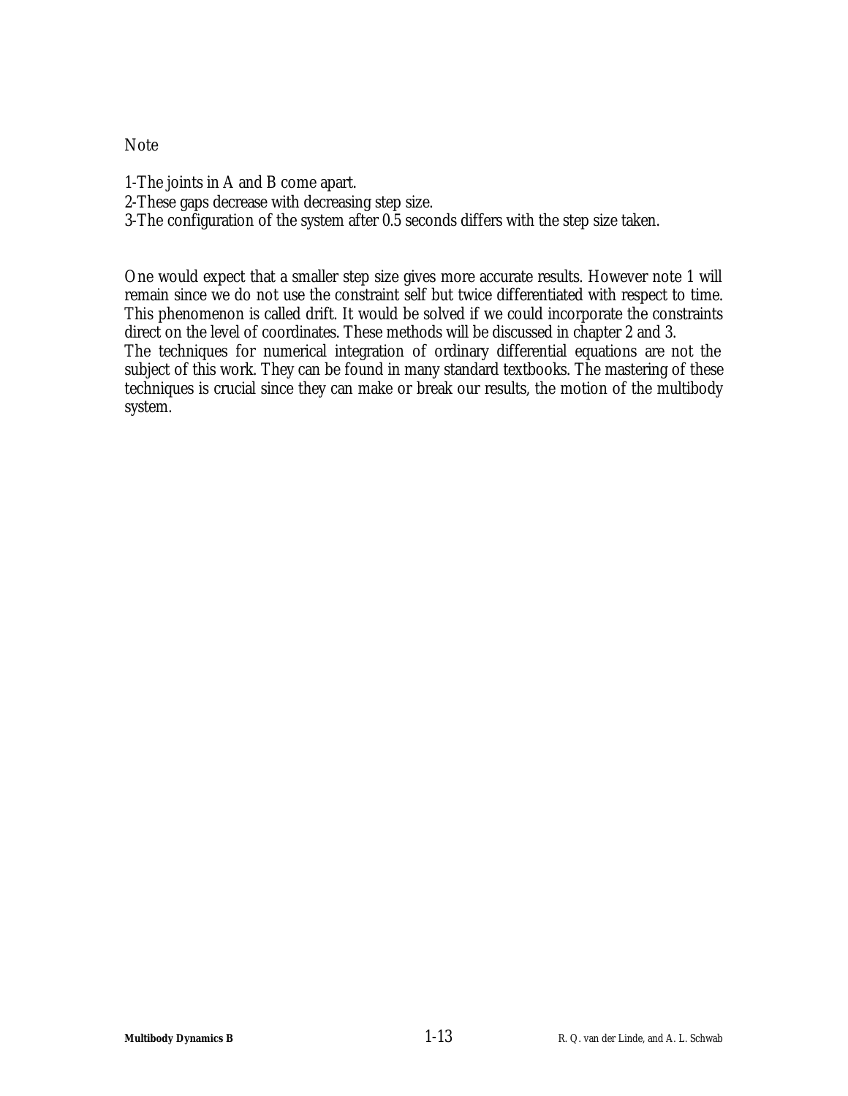Note

- 1-The joints in A and B come apart.
- 2-These gaps decrease with decreasing step size.
- 3-The configuration of the system after 0.5 seconds differs with the step size taken.

One would expect that a smaller step size gives more accurate results. However note 1 will remain since we do not use the constraint self but twice differentiated with respect to time. This phenomenon is called drift. It would be solved if we could incorporate the constraints direct on the level of coordinates. These methods will be discussed in chapter 2 and 3.

The techniques for numerical integration of ordinary differential equations are not the subject of this work. They can be found in many standard textbooks. The mastering of these techniques is crucial since they can make or break our results, the motion of the multibody system.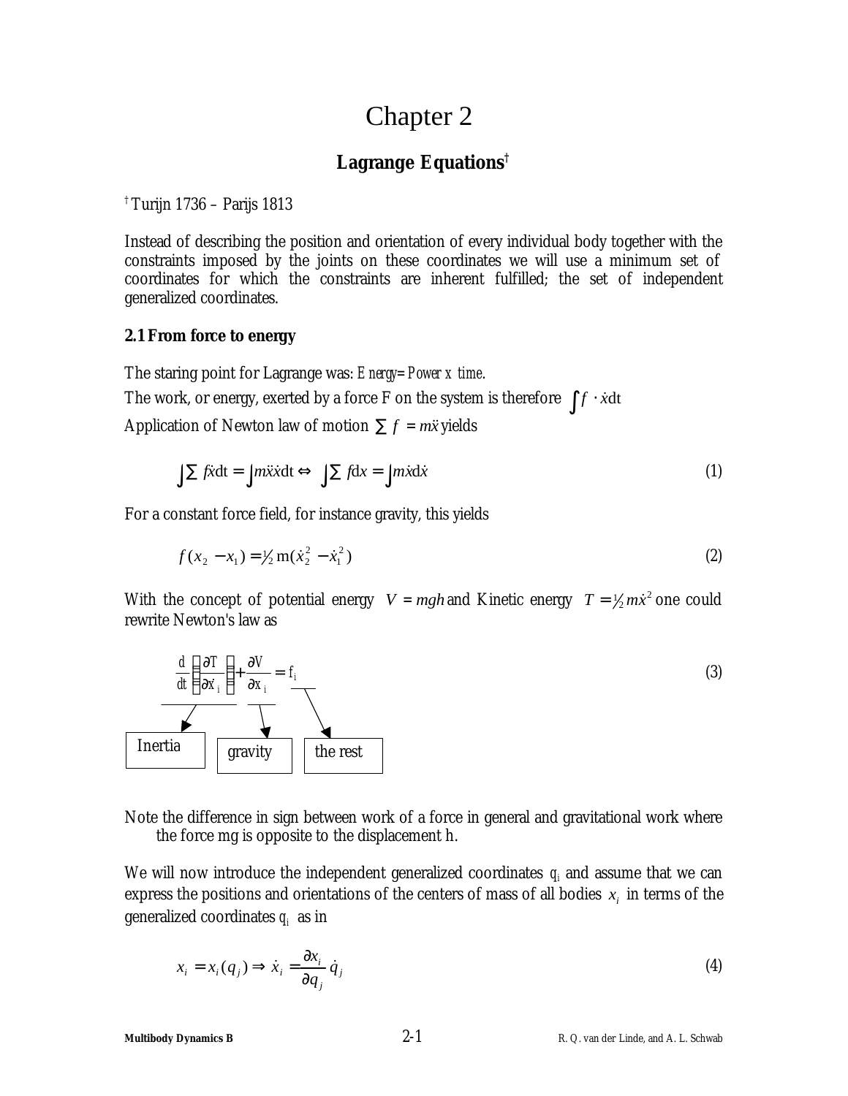## Chapter 2

## **Lagrange Equations†**

† Turijn 1736 – Parijs 1813

Instead of describing the position and orientation of every individual body together with the constraints imposed by the joints on these coordinates we will use a minimum set of coordinates for which the constraints are inherent fulfilled; the set of independent generalized coordinates.

### **2.1 From force to energy**

The staring point for Lagrange was: *Energy=Power x time*. The work, or energy, exerted by a force F on the system is therefore  $\int f \cdot \dot{x} dt$ Application of Newton law of motion  $\sum f = m\ddot{x}$  yields

$$
\int \sum f \mathbf{x} \, \mathrm{d} \mathbf{t} = \int m \mathbf{x} \mathbf{x} \, \mathrm{d} \mathbf{t} \Leftrightarrow \int \sum f \, \mathrm{d} \mathbf{x} = \int m \mathbf{x} \, \mathrm{d} \mathbf{x} \tag{1}
$$

For a constant force field, for instance gravity, this yields

$$
f(x_2 - x_1) = \frac{1}{2} m(\dot{x}_2^2 - \dot{x}_1^2)
$$
 (2)

With the concept of potential energy  $V = mgh$  and Kinetic energy  $T = \frac{1}{2} m \dot{x}^2$  one could rewrite Newton's law as



Note the difference in sign between work of a force in general and gravitational work where the force mg is opposite to the displacement h.

We will now introduce the independent generalized coordinates  $q_i$  and assume that we can express the positions and orientations of the centers of mass of all bodies  $x_i$  in terms of the generalized coordinates  $q_i$  as in

$$
x_i = x_i(q_j) \Longrightarrow \dot{x}_i = \frac{\partial x_i}{\partial q_j} \dot{q}_j \tag{4}
$$

### **Multibody Dynamics B** 2-1 R. Q. van der Linde, and A. L. Schwab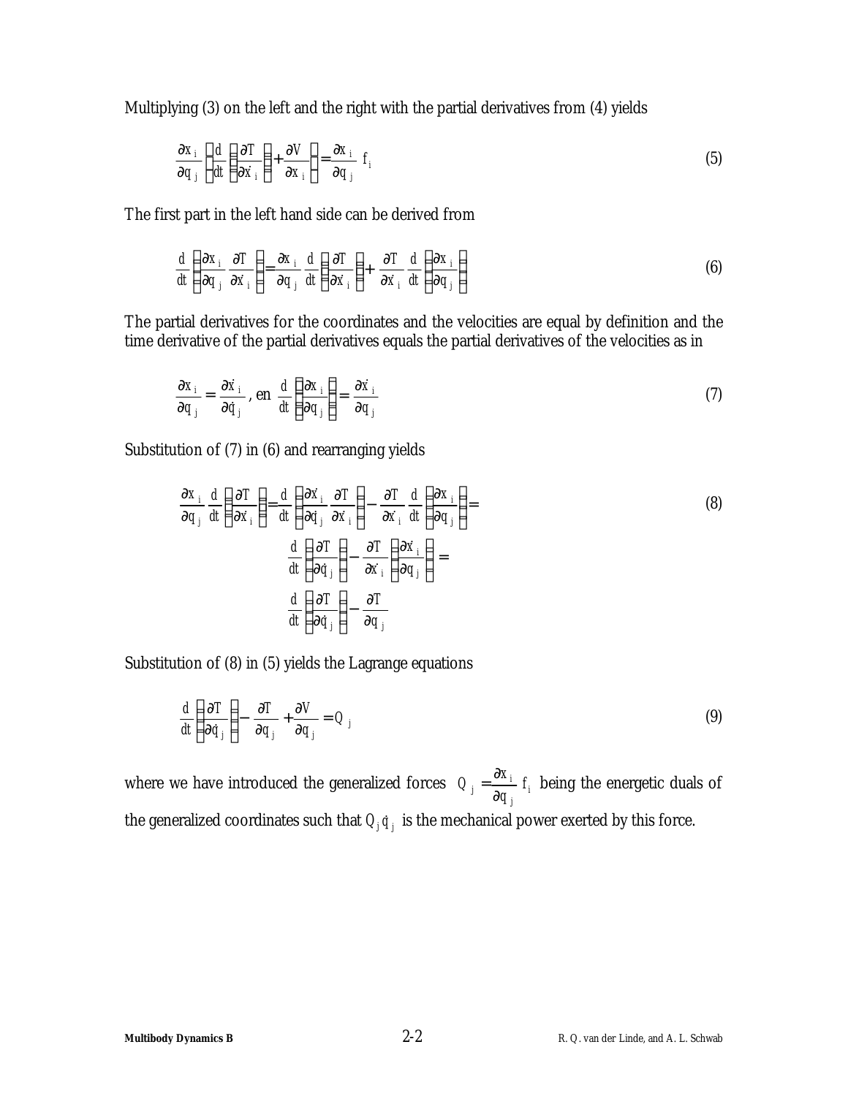Multiplying (3) on the left and the right with the partial derivatives from (4) yields

$$
\frac{\partial x_i}{\partial q_j} \left\{ \frac{d}{dt} \left( \frac{\partial T}{\partial \dot{x}_i} \right) + \frac{\partial V}{\partial x_i} \right\} = \frac{\partial x_i}{\partial q_j} \ t_i \tag{5}
$$

The first part in the left hand side can be derived from

$$
\frac{d}{dt}\left(\frac{\partial x_i}{\partial q_j}\frac{\partial T}{\partial \dot{x}_i}\right) = \frac{\partial x_i}{\partial q_j}\frac{d}{dt}\left(\frac{\partial T}{\partial \dot{x}_i}\right) + \frac{\partial T}{\partial \dot{x}_i}\frac{d}{dt}\left(\frac{\partial x_i}{\partial q_j}\right)
$$
(6)

The partial derivatives for the coordinates and the velocities are equal by definition and the time derivative of the partial derivatives equals the partial derivatives of the velocities as in

$$
\frac{\partial x_i}{\partial q_j} = \frac{\partial \dot{x}_i}{\partial \dot{q}_j}, \text{ en } \frac{d}{dt} \left\{ \frac{\partial x_i}{\partial q_j} \right\} = \frac{\partial \dot{x}_i}{\partial q_j}
$$
 (7)

Substitution of (7) in (6) and rearranging yields

$$
\frac{\partial x_i}{\partial q_j} \frac{d}{dt} \left( \frac{\partial T}{\partial \dot{x}_i} \right) = \frac{d}{dt} \left( \frac{\partial \dot{x}_i}{\partial \dot{q}_j} \frac{\partial T}{\partial \dot{x}_i} \right) - \frac{\partial T}{\partial \dot{x}_i} \frac{d}{dt} \left( \frac{\partial x_i}{\partial q_j} \right) = \frac{d}{dt} \left( \frac{\partial T}{\partial \dot{q}_j} \right) - \frac{\partial T}{\partial \dot{x}_i} \left( \frac{\partial \dot{x}_i}{\partial q_j} \right) = \frac{d}{dt} \left( \frac{\partial T}{\partial \dot{q}_j} \right) - \frac{\partial T}{\partial q_j}
$$
\n(8)

Substitution of (8) in (5) yields the Lagrange equations

$$
\frac{d}{dt} \left( \frac{\partial T}{\partial \dot{q}_j} \right) - \frac{\partial T}{\partial q_j} + \frac{\partial V}{\partial q_j} = Q_j \tag{9}
$$

where we have introduced the generalized forces  $Q_i = \frac{\partial A_i}{\partial x_i} f_i$ *j*  $i = \frac{\partial A_i}{\partial a}$ *q*  $Q_i = \frac{\partial x}{\partial x}$ ∂  $=\frac{\partial x_i}{\partial x_i} f_i$  being the energetic duals of the generalized coordinates such that  $Q_j \dot{q}_{j \,}$  is the mechanical power exerted by this force.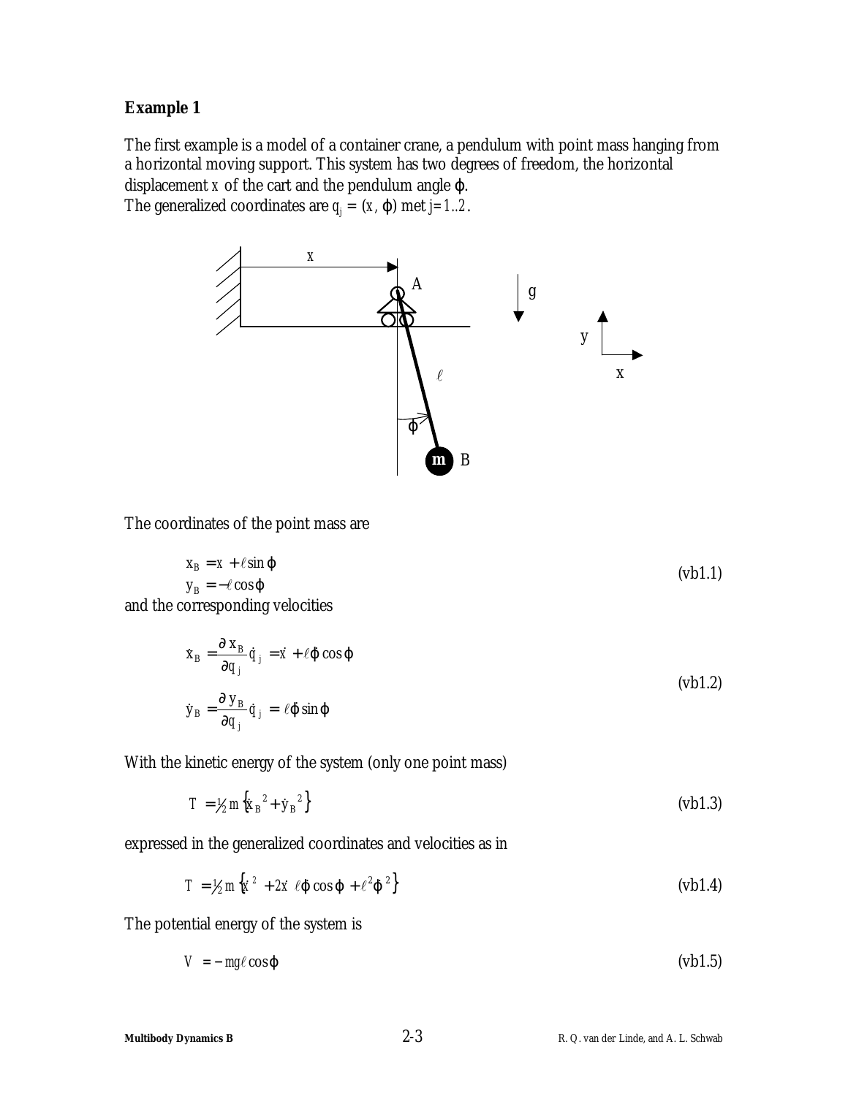## **Example 1**

The first example is a model of a container crane, a pendulum with point mass hanging from a horizontal moving support. This system has two degrees of freedom, the horizontal displacement *x* of the cart and the pendulum angle *j*. The generalized coordinates are  $q_j = (x, j)$  met  $j=1..2$ .



The coordinates of the point mass are

$$
x_B = x + \ell \sin j
$$
  
\n
$$
y_B = -\ell \cos j
$$
 (vb1.1)

and the corresponding velocities

$$
\dot{\mathbf{x}}_{\rm B} = \frac{\partial \mathbf{x}_{\rm B}}{\partial q_j} \dot{q}_j = \dot{x} + \ell \mathbf{j} \cos \mathbf{j}
$$
\n
$$
\dot{\mathbf{y}}_{\rm B} = \frac{\partial \mathbf{y}_{\rm B}}{\partial q_j} \dot{q}_j = \ell \mathbf{j} \sin \mathbf{j}
$$
\n(vb1.2)

With the kinetic energy of the system (only one point mass)

$$
T = \frac{1}{2} m \left\{ \dot{x}_{B}^{2} + \dot{y}_{B}^{2} \right\}
$$
 (vb1.3)

expressed in the generalized coordinates and velocities as in

$$
T = \frac{1}{2} m \left\{ \dot{x}^2 + 2 \dot{x} \ \ell \mathbf{j} \ \cos \mathbf{j} + \ell^2 \mathbf{j}^2 \right\} \tag{vbl.4}
$$

The potential energy of the system is

$$
V = -mg\ell\cos j\tag{61.5}
$$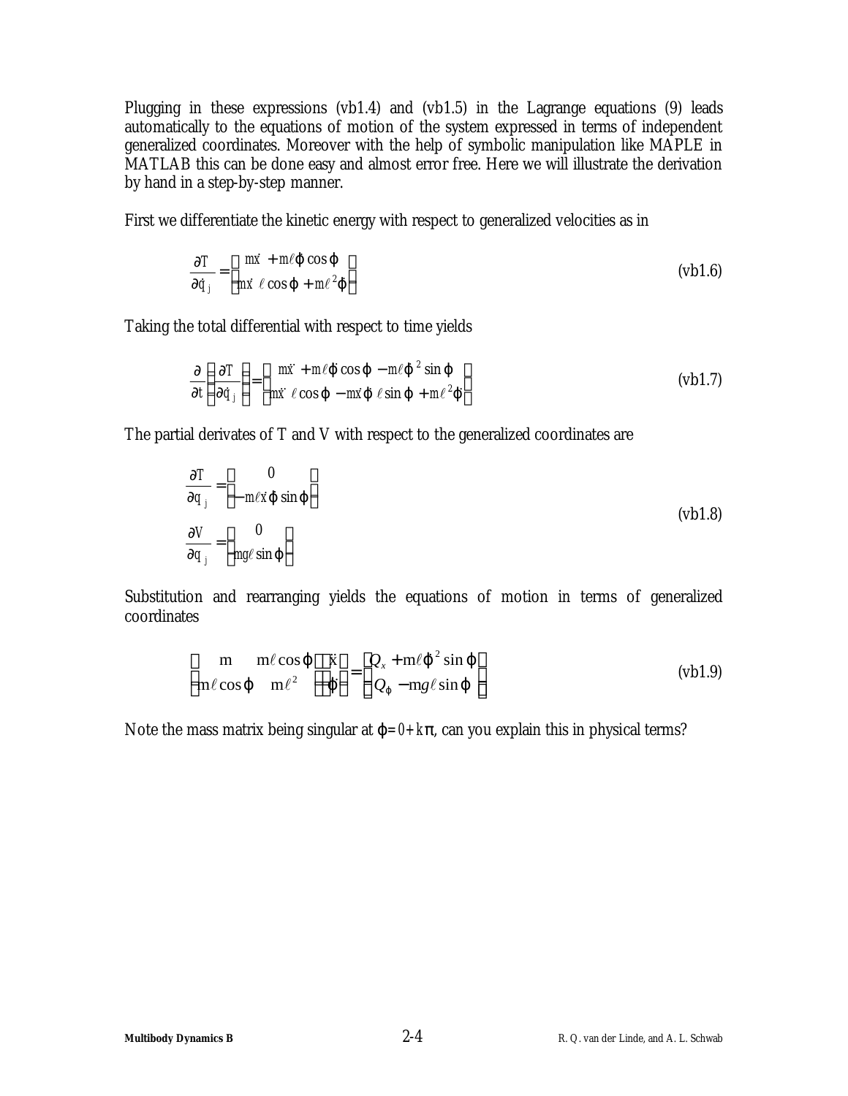Plugging in these expressions (vb1.4) and (vb1.5) in the Lagrange equations (9) leads automatically to the equations of motion of the system expressed in terms of independent generalized coordinates. Moreover with the help of symbolic manipulation like MAPLE in MATLAB this can be done easy and almost error free. Here we will illustrate the derivation by hand in a step-by-step manner.

First we differentiate the kinetic energy with respect to generalized velocities as in

$$
\frac{\partial T}{\partial \dot{q}_j} = \left[ \frac{m \dot{x} + m \ell \mathbf{j} \cos \mathbf{j}}{m \dot{x} \ell \cos \mathbf{j} + m \ell^2 \mathbf{j}} \right]
$$
 (vb1.6)

Taking the total differential with respect to time yields

$$
\frac{\partial}{\partial t} \left( \frac{\partial T}{\partial \dot{q}_j} \right) = \left[ \begin{array}{cc} m\ddot{x} + m\ell \dot{J} \cos \dot{J} - m\ell \dot{J}^2 \sin \dot{J} \\ m\ddot{x} \ell \cos \dot{J} - m\dot{x} \dot{J} \ell \sin \dot{J} + m\ell^2 \dot{J} \end{array} \right]
$$
 (vb1.7)

The partial derivates of T and V with respect to the generalized coordinates are

$$
\frac{\partial T}{\partial q_j} = \begin{bmatrix} 0 \\ -m\ell \dot{x} \dot{y} \sin j \end{bmatrix}
$$
  

$$
\frac{\partial V}{\partial q_j} = \begin{bmatrix} 0 \\ mg\ell \sin j \end{bmatrix}
$$
 (vb1.8)

Substitution and rearranging yields the equations of motion in terms of generalized coordinates

$$
\begin{bmatrix} m & m\ell \cos j \\ m\ell \cos j & m\ell^2 \end{bmatrix} \begin{bmatrix} \ddot{x} \\ \ddot{y} \end{bmatrix} = \begin{bmatrix} Q_x + m\ell j^2 \sin j \\ Q_j - mg\ell \sin j \end{bmatrix}
$$
 (vb1.9)

Note the mass matrix being singular at  $j = 0 + k p$ , can you explain this in physical terms?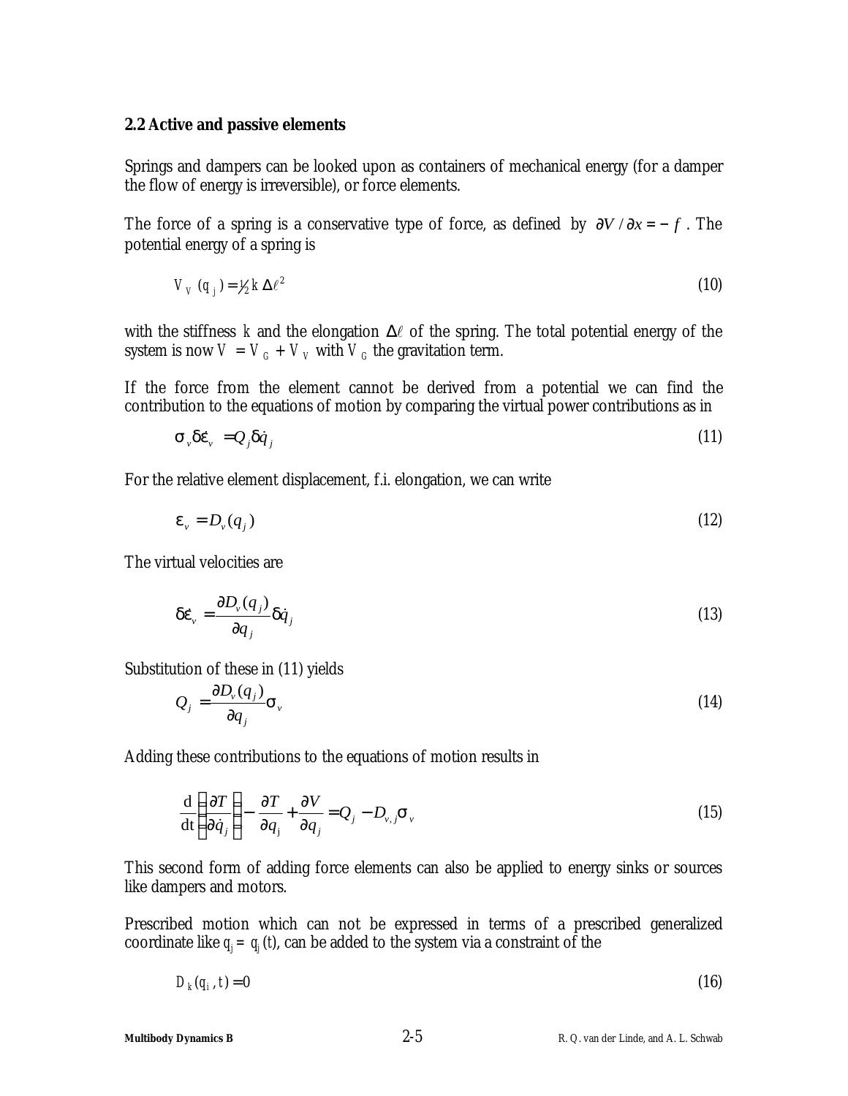### **2.2 Active and passive elements**

Springs and dampers can be looked upon as containers of mechanical energy (for a damper the flow of energy is irreversible), or force elements.

The force of a spring is a conservative type of force, as defined by  $\partial V / \partial x = -f$ . The potential energy of a spring is

$$
V_V(q_j) = V_2 k \Delta \ell^2 \tag{10}
$$

with the stiffness  $k$  and the elongation  $\Delta \ell$  of the spring. The total potential energy of the system is now  $V = V_G + V_V$  with  $V_G$  the gravitation term.

If the force from the element cannot be derived from a potential we can find the contribution to the equations of motion by comparing the virtual power contributions as in

$$
\mathbf{s}_{\nu} \mathbf{d} \dot{\mathbf{e}}_{\nu} = Q_{j} \mathbf{d} \dot{q}_{j} \tag{11}
$$

For the relative element displacement, f.i. elongation, we can write

$$
\boldsymbol{e}_{v} = D_{v}(q_{j}) \tag{12}
$$

The virtual velocities are

$$
\boldsymbol{d}\boldsymbol{e}_{v} = \frac{\partial D_{v}(q_{j})}{\partial q_{j}} \boldsymbol{d}\dot{q}_{j} \tag{13}
$$

Substitution of these in (11) yields

$$
Q_j = \frac{\partial D_v(q_j)}{\partial q_j} \mathbf{s}_v \tag{14}
$$

Adding these contributions to the equations of motion results in

$$
\frac{\mathrm{d}}{\mathrm{dt}} \left( \frac{\partial T}{\partial \dot{q}_j} \right) - \frac{\partial T}{\partial q_j} + \frac{\partial V}{\partial q_j} = Q_j - D_{\nu,j} \mathbf{S}_{\nu}
$$
\n(15)

This second form of adding force elements can also be applied to energy sinks or sources like dampers and motors.

Prescribed motion which can not be expressed in terms of a prescribed generalized coordinate like  $q_i = q_i(t)$ , can be added to the system via a constraint of the

$$
D_k(q_i, t) = 0 \tag{16}
$$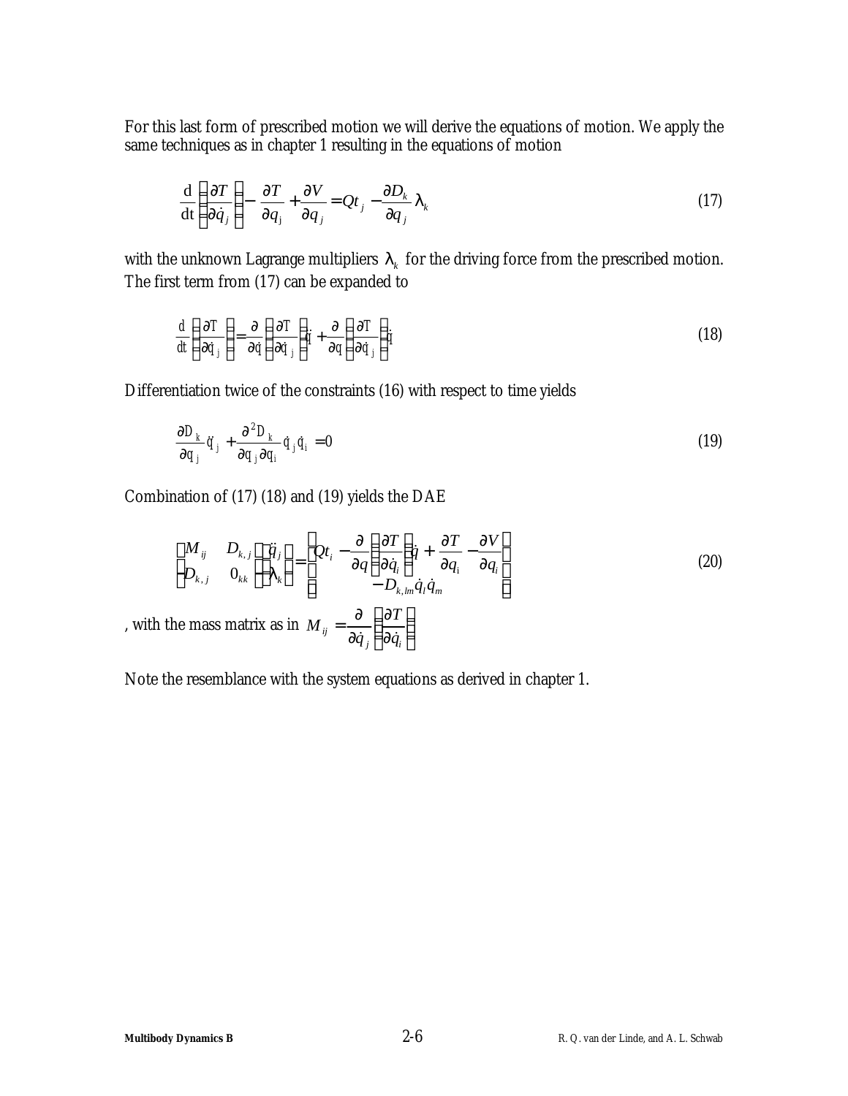For this last form of prescribed motion we will derive the equations of motion. We apply the same techniques as in chapter 1 resulting in the equations of motion

$$
\frac{\mathrm{d}}{\mathrm{dt}}\left(\frac{\partial T}{\partial \dot{q}_j}\right) - \frac{\partial T}{\partial q_j} + \frac{\partial V}{\partial q_j} = Qt_j - \frac{\partial D_k}{\partial q_j} I_k
$$
\n(17)

with the unknown Lagrange multipliers  $I_k$  for the driving force from the prescribed motion. The first term from (17) can be expanded to

$$
\frac{d}{dt}\left(\frac{\partial T}{\partial \dot{q}_j}\right) = \frac{\partial}{\partial \dot{q}}\left(\frac{\partial T}{\partial \dot{q}_j}\right)\dot{\vec{q}} + \frac{\partial}{\partial q}\left(\frac{\partial T}{\partial \dot{q}_j}\right)\dot{\vec{q}}\tag{18}
$$

Differentiation twice of the constraints (16) with respect to time yields

$$
\frac{\partial D_k}{\partial q_j} \ddot{q}_j + \frac{\partial^2 D_k}{\partial q_j \partial q_i} \dot{q}_j \dot{q}_i = 0
$$
\n(19)

Combination of (17) (18) and (19) yields the DAE

$$
\begin{bmatrix}\nM_{ij} & D_{k,j} \\
D_{k,j} & 0_{kk}\n\end{bmatrix}\n\begin{bmatrix}\n\ddot{q}_j \\
I_k\n\end{bmatrix} =\n\begin{bmatrix}\nQt_i - \frac{\partial}{\partial q} \left(\frac{\partial T}{\partial \dot{q}_i}\right) \dot{q} + \frac{\partial T}{\partial q_i} - \frac{\partial V}{\partial q_i} \\
- D_{k,lm} \dot{q}_i \dot{q}_m\n\end{bmatrix}
$$
\n(20)

\n, with the mass matrix as in  $M_{ij} = \frac{\partial}{\partial \dot{q}_j} \left(\frac{\partial T}{\partial \dot{q}_i}\right)$ 

Note the resemblance with the system equations as derived in chapter 1.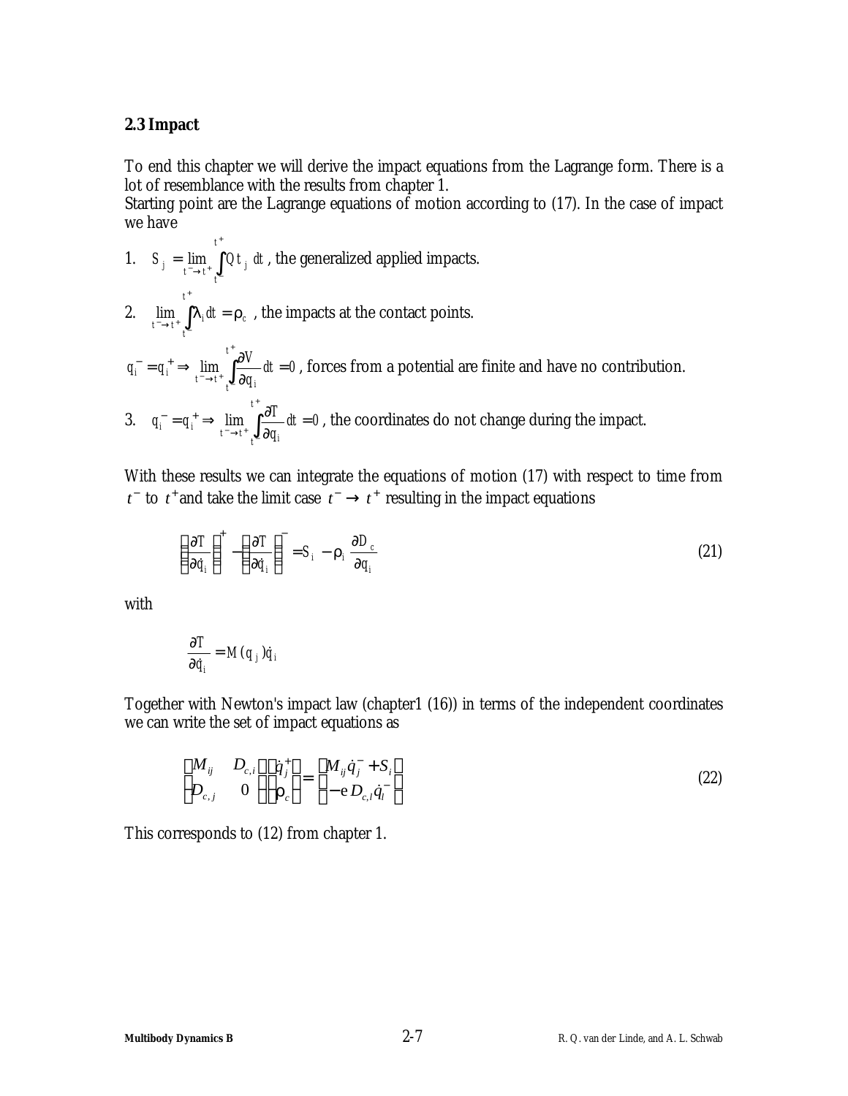### **2.3 Impact**

To end this chapter we will derive the impact equations from the Lagrange form. There is a lot of resemblance with the results from chapter 1.

Starting point are the Lagrange equations of motion according to (17). In the case of impact we have

- 1.  $S_j = \lim_{t^- \to t^+} \int$ +  $=\lim_{t^{-}\to t^{+}} \int$ *t t*  $S_j = \lim_{t \to t^*} \int Qt_j dt$ , the generalized applied impacts. +
- 2.  $\lim_{t \to \infty} |I_i dt = r$ *t t*  $\lim_{t^- \to t^+} \int I_i dt = r$  $\lim_{\tau \to t^+} \int I_i dt = \mathbf{r}_c$ , the impacts at the contact points.
- $dt = 0$ *q*  $q_i^- = q_i^+ \Rightarrow \lim_{i \to \infty} \int_0^1 \frac{\partial V}{\partial x_i^i}$ *t*  $\int_{t}^{-} = q_{i}^{+} \Rightarrow \lim_{t^{-} \to t^{+}} \int_{t^{-}}^{t} \frac{\partial \mathbf{v}}{\partial q_{i}} dt =$  $q_i^+ \Rightarrow \lim_{t^- \to t^+} \int \frac{\partial}{\partial t}$ + ־→t<sup>+</sup> پ–  $\sigma_i^- = q_i^+ \Rightarrow \lim_{h \to 0} \int_{0}^{h} \sigma \, dt = 0$ , forces from a potential are finite and have no contribution.
- 3.  $q_i^- = q_i^+ \Rightarrow \lim_{t \to \infty} \left| \frac{\partial u}{\partial t} \right| dt = 0$ *q*  $q_i^- = q_i^+ \Rightarrow \lim_{ } \int_{0}^{1} \frac{\partial T}{\partial x_i}$ *t*  $\int_{t}^{-} = q_i^{+} \Rightarrow \lim_{t^{-} \to t^{+}} \int_{t^{-}} \frac{\partial T}{\partial q_i} dt =$  $q_i^+ \Rightarrow \lim_{t^- \to t^+} \int \frac{\partial}{\partial t}$ + ־→t<sup>+</sup> پ–  $\frac{1}{i} = q_i^+ \Rightarrow \lim_{h \to 0} \int_{0}^{q_i} dt = 0$ , the coordinates do not change during the impact.

With these results we can integrate the equations of motion (17) with respect to time from *t*<sup>−</sup> to *t*<sup>+</sup> and take the limit case  $t$ <sup>−</sup> →  $t$ <sup>+</sup> resulting in the impact equations

$$
\left(\frac{\partial T}{\partial \dot{q}_i}\right)^+ - \left(\frac{\partial T}{\partial \dot{q}_i}\right)^- = S_i - \mathbf{r}_i \frac{\partial D_c}{\partial q_i}
$$
\n(21)

with

$$
\frac{\partial T}{\partial \dot{q}_i} = M(q_j) \dot{q}_i
$$

Together with Newton's impact law (chapter1 (16)) in terms of the independent coordinates we can write the set of impact equations as

$$
\begin{bmatrix} M_{ij} & D_{c,i} \\ D_{c,j} & 0 \end{bmatrix} \begin{bmatrix} \dot{q}_j^+ \\ \mathbf{r}_c \end{bmatrix} = \begin{bmatrix} M_{ij}\dot{q}_j^- + S_i \\ -e D_{c,i}\dot{q}_i^- \end{bmatrix}
$$
(22)

This corresponds to (12) from chapter 1.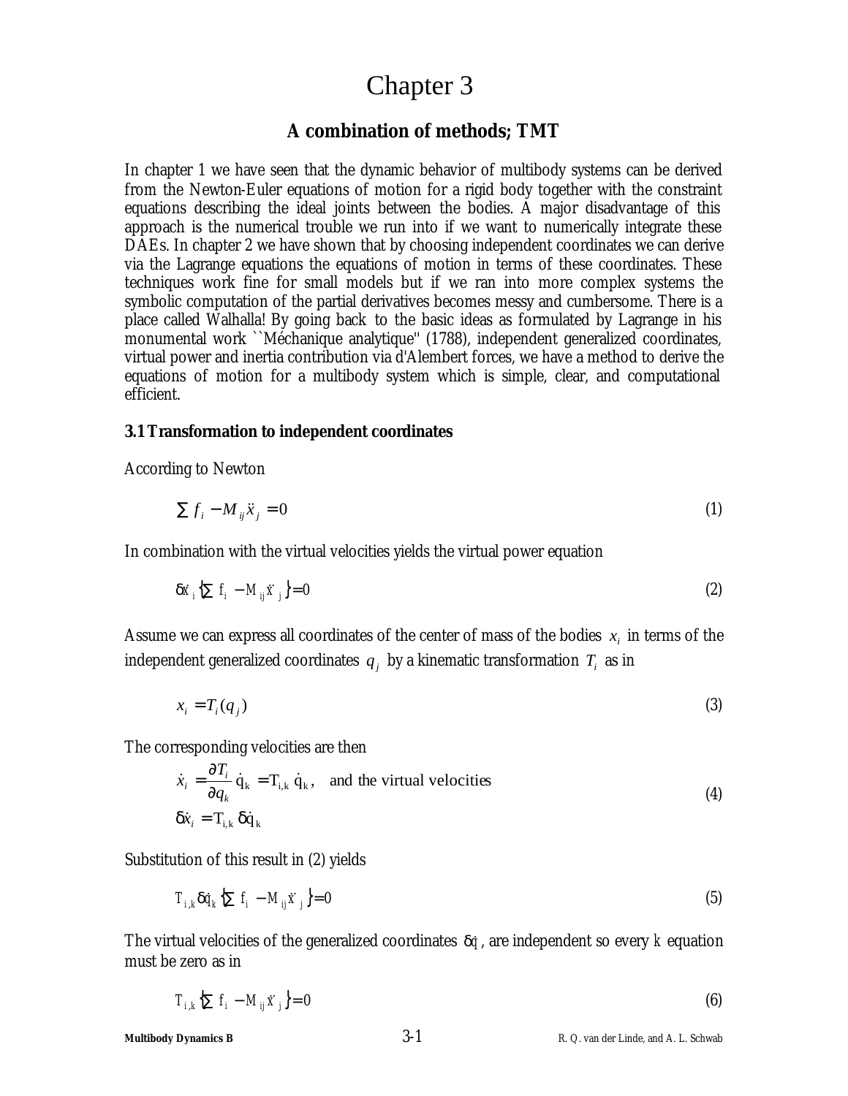## Chapter 3

## **A combination of methods; TMT**

In chapter 1 we have seen that the dynamic behavior of multibody systems can be derived from the Newton-Euler equations of motion for a rigid body together with the constraint equations describing the ideal joints between the bodies. A major disadvantage of this approach is the numerical trouble we run into if we want to numerically integrate these DAEs. In chapter 2 we have shown that by choosing independent coordinates we can derive via the Lagrange equations the equations of motion in terms of these coordinates. These techniques work fine for small models but if we ran into more complex systems the symbolic computation of the partial derivatives becomes messy and cumbersome. There is a place called Walhalla! By going back to the basic ideas as formulated by Lagrange in his monumental work ``Méchanique analytique'' (1788), independent generalized coordinates, virtual power and inertia contribution via d'Alembert forces, we have a method to derive the equations of motion for a multibody system which is simple, clear, and computational efficient.

### **3.1 Transformation to independent coordinates**

According to Newton

$$
\sum f_i - M_{ij} \ddot{x}_j = 0 \tag{1}
$$

In combination with the virtual velocities yields the virtual power equation

$$
\mathbf{d}\dot{x}_i \left\{ \sum f_i - M_{ij} \ddot{x}_j \right\} = 0 \tag{2}
$$

Assume we can express all coordinates of the center of mass of the bodies  $x_i$  in terms of the independent generalized coordinates  $\boldsymbol{q}_j$  by a kinematic transformation  $\boldsymbol{T}_i$  as in

$$
x_i = T_i(q_j) \tag{3}
$$

The corresponding velocities are then

$$
\dot{x}_i = \frac{\partial T_i}{\partial q_k} \dot{q}_k = T_{i,k} \dot{q}_k, \text{ and the virtual velocities}
$$
\n
$$
\mathbf{d}\dot{x}_i = T_{i,k} \mathbf{d}\dot{q}_k
$$
\n(4)

Substitution of this result in (2) yields

$$
T_{i,k}d\dot{q}_k\left\{\sum f_i - M_{ij}\ddot{x}_j\right\} = 0\tag{5}
$$

The virtual velocities of the generalized coordinates  $d\dot{q}$ , are independent so every  $k$  equation must be zero as in

$$
T_{i,k}\left\{\sum f_i - M_{ij}\ddot{x}_j\right\} = 0\tag{6}
$$

**Multibody Dynamics B** 3-1 R. Q. van der Linde, and A. L. Schwab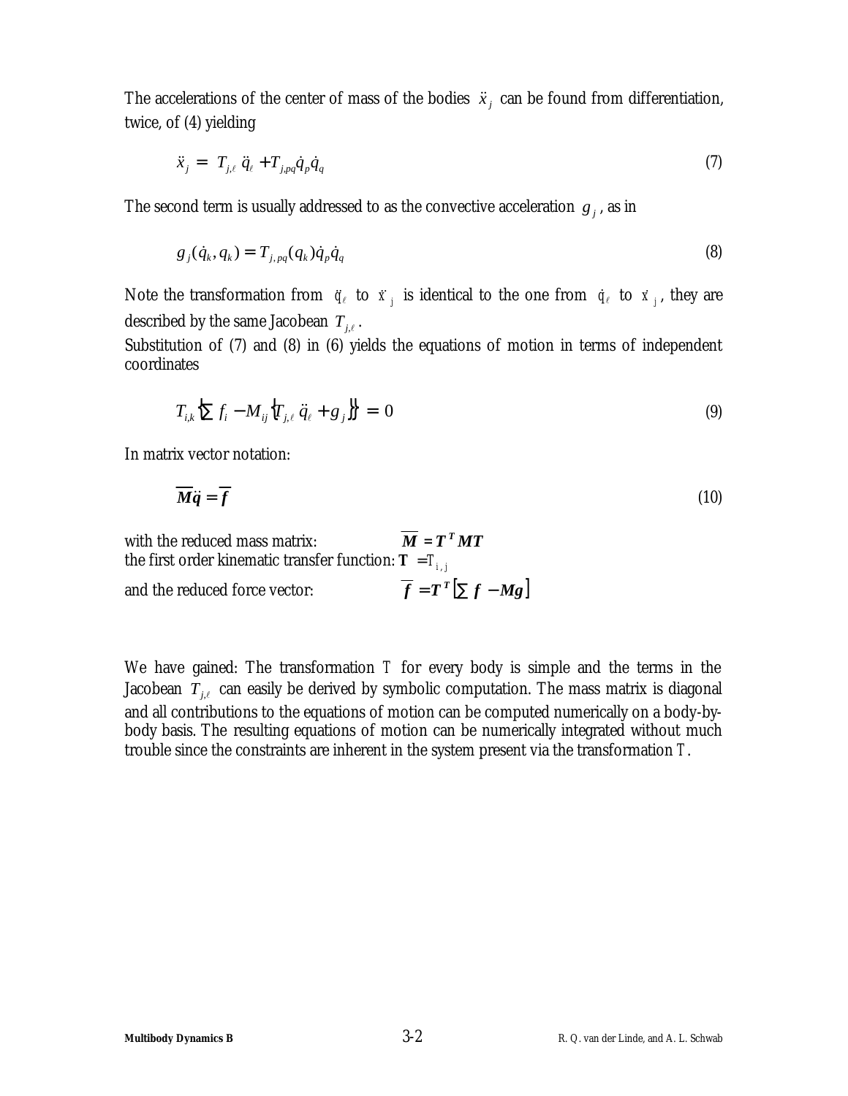The accelerations of the center of mass of the bodies  $\ddot{x}_i$  can be found from differentiation, twice, of (4) yielding

$$
\ddot{x}_j = T_{j,\ell} \ddot{q}_\ell + T_{j,pq} \dot{q}_p \dot{q}_q \tag{7}
$$

The second term is usually addressed to as the convective acceleration  $g_j$ , as in

$$
g_j(\dot{q}_k, q_k) = T_{j, pq}(q_k)\dot{q}_p\dot{q}_q
$$
\n
$$
(8)
$$

Note the transformation from  $\ddot{q}_\ell$  to  $\ddot{x}_j$  is identical to the one from  $\dot{q}_\ell$  to  $\dot{x}_j$ , they are described by the same Jacobean  $T_{j,\ell}$  .

Substitution of (7) and (8) in (6) yields the equations of motion in terms of independent coordinates

$$
T_{i,k}\left\{\sum f_i - M_{ij}\left\{T_{j,\ell} \ddot{q}_\ell + g_j\right\}\right\} = 0
$$
\n(9)

In matrix vector notation:

$$
\overline{M}\ddot{q} = \overline{f} \tag{10}
$$

with the reduced mass matrix:  $\overline{M} = T^T M T$ the first order kinematic transfer function:  $\boldsymbol{T} = T_{i,j}$ and the reduced force vector:  $= T^T \left[ \sum f -$ 

We have gained: The transformation *T* for every body is simple and the terms in the Jacobean  $T_{j,\ell}$  can easily be derived by symbolic computation. The mass matrix is diagonal and all contributions to the equations of motion can be computed numerically on a body-bybody basis. The resulting equations of motion can be numerically integrated without much trouble since the constraints are inherent in the system present via the transformation *T*.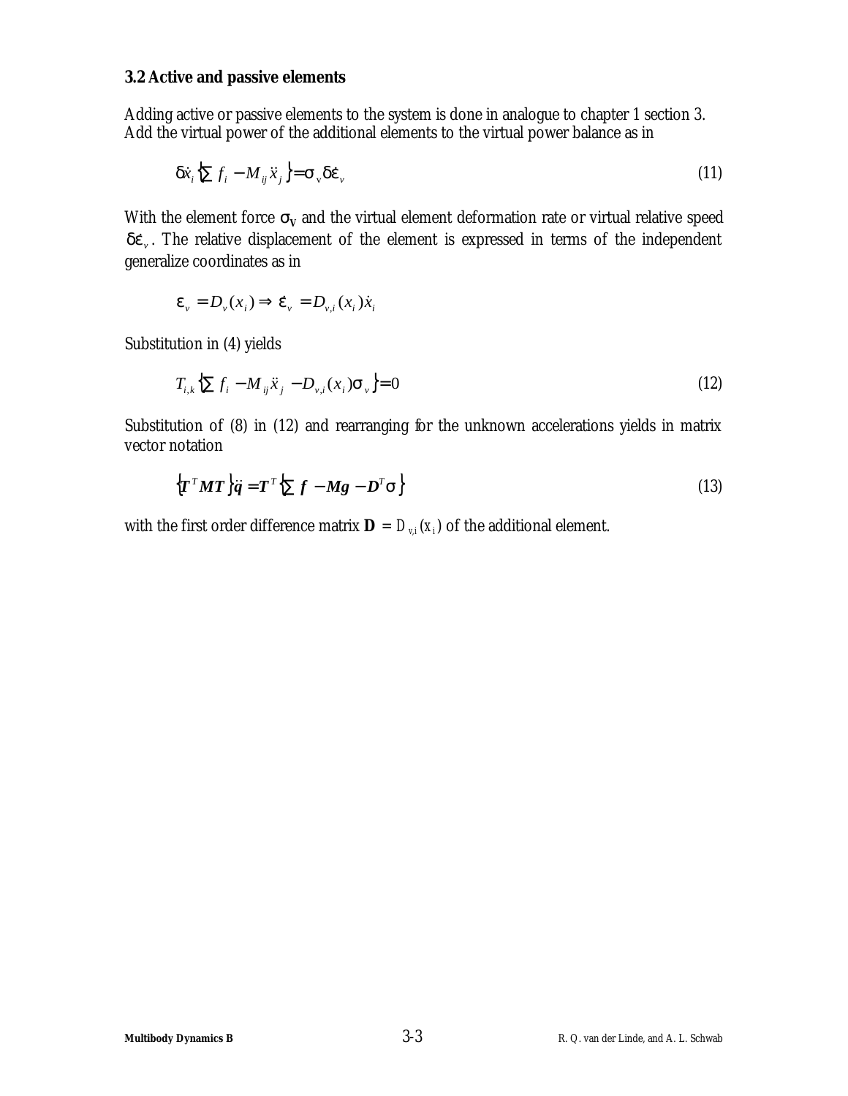### **3.2 Active and passive elements**

Adding active or passive elements to the system is done in analogue to chapter 1 section 3. Add the virtual power of the additional elements to the virtual power balance as in

$$
\boldsymbol{d}\dot{\boldsymbol{x}}_i \left\{ \sum f_i - M_{ij} \ddot{\boldsymbol{x}}_j \right\} = \boldsymbol{S}_{\boldsymbol{y}} \boldsymbol{d}\boldsymbol{e}_{\boldsymbol{y}} \tag{11}
$$

With the element force  $s_V$  and the virtual element deformation rate or virtual relative speed de<sub>v</sub>. The relative displacement of the element is expressed in terms of the independent generalize coordinates as in

$$
\mathbf{e}_{v} = D_{v}(x_{i}) \Longrightarrow \dot{\mathbf{e}}_{v} = D_{v,i}(x_{i}) \dot{x}_{i}
$$

Substitution in (4) yields

$$
T_{i,k}\left\{\sum f_i - M_{ij}\ddot{x}_j - D_{\nu,i}(x_i)\mathbf{s}_{\nu}\right\} = 0\tag{12}
$$

Substitution of (8) in (12) and rearranging for the unknown accelerations yields in matrix vector notation

$$
\left\{\boldsymbol{T}^{T}\boldsymbol{M}\boldsymbol{T}\right\}\ddot{\boldsymbol{q}} = \boldsymbol{T}^{T}\left\{\sum\boldsymbol{f}-\boldsymbol{M}\boldsymbol{g}-\boldsymbol{D}^{T}\boldsymbol{s}\right\} \tag{13}
$$

with the first order difference matrix  $\mathbf{D} = D_{\nu,i}(x_i)$  of the additional element.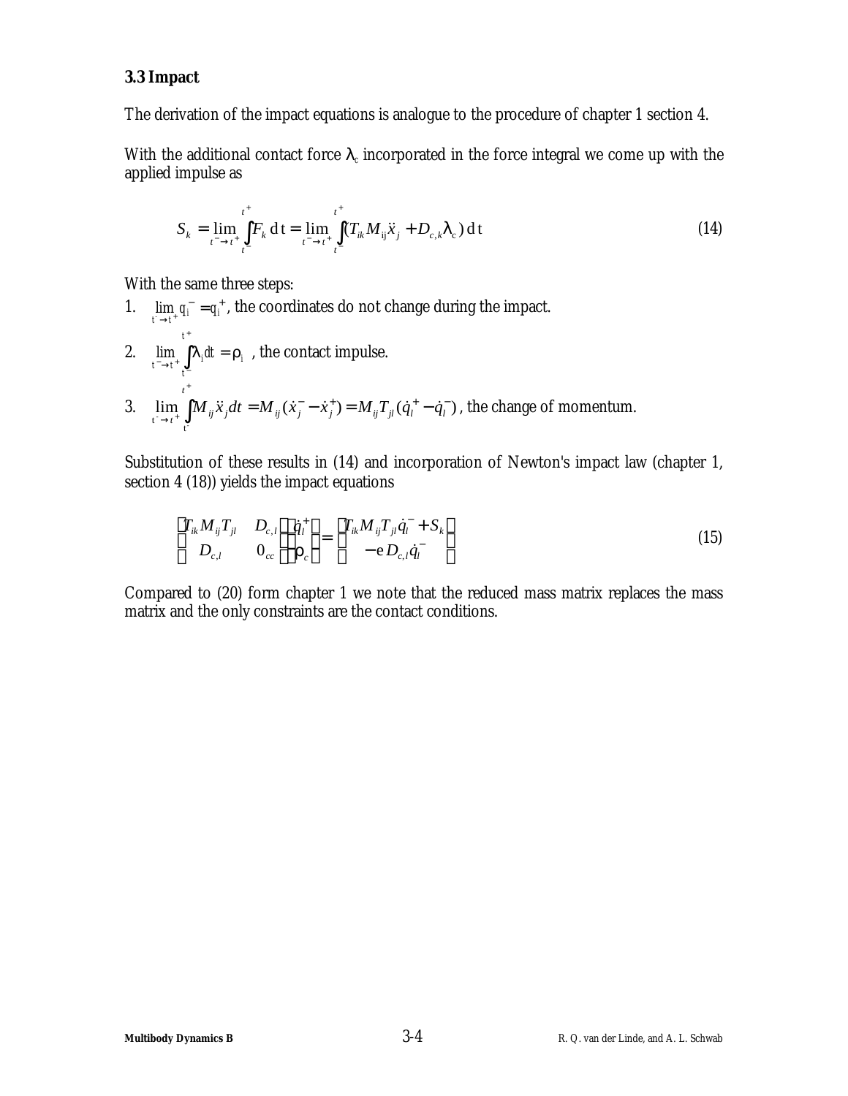### **3.3 Impact**

The derivation of the impact equations is analogue to the procedure of chapter 1 section 4.

With the additional contact force  $I_c$  incorporated in the force integral we come up with the applied impulse as

$$
S_k = \lim_{t^- \to t^+} \int_{t^-}^{t^+} F_k dt = \lim_{t^- \to t^+} \int_{t^-}^{t^+} (T_{ik} M_{ij} \ddot{x}_j + D_{c,k} I_c) dt
$$
 (14)

With the same three steps:

1.  $\lim_{t \to t^*} q_i^- = q_i^+$ , the coordinates do not change during the impact. 2.  $\lim_{t \to \infty} |I_i dt = r_i$ *t t*  $\lim_{t^- \to t^+} \int I_i dt = r$ +  $\lim_{t \to t^+} \int_{t^-} I_i dt = \mathbf{r}_i$ , the contact impulse. 3.  $\lim_{n \to \infty} | M_{ii} \ddot{x}_i dt = M_{ii} (\dot{x}_i - \dot{x}_i^+) = M_{ii} T_{ii} (\dot{q}_i^+ - \dot{q}_i^-)$  $t^- \rightarrow t^+$   $\frac{J}{t^-}$ − + + −  $\lim_{j \to i^{+}} \int M_{ij} \ddot{x}_{j} dt = M_{ij} (\dot{x}_{j}^{-} - \dot{x}_{j}^{+}) = M_{ij} T_{jl} (\dot{q}_{l}^{+} -$ +  $\sum_{i=1}^{N} \int_{i}^{N} \mathcal{L}_{i}^{j} dt = M_{ij} (\mathcal{L}_{j} - \mathcal{L}_{j}) - M_{ij} \mathcal{L}_{jl} (\mathcal{L}_{l} - \mathcal{L}_{l})$ *t*  $\lim_{t \to t_+^+} \int M_{ij} \ddot{x}_j dt = M_{ij} (\dot{x}^-_j - \dot{x}^+_j) = M_{ij} T_{jl} (\dot{q}^+_l - \dot{q}^-_l)$ , the change of momentum.

Substitution of these results in (14) and incorporation of Newton's impact law (chapter 1, section 4 (18)) yields the impact equations

$$
\begin{bmatrix} T_{ik} M_{ij} T_{jl} & D_{c,l} \ D_{c,l} & 0_{cc} \end{bmatrix} \begin{bmatrix} \dot{q}_l^+ \\ \mathbf{r}_c \end{bmatrix} = \begin{bmatrix} T_{ik} M_{ij} T_{jl} \dot{q}_l^- + S_k \ -e D_{c,l} \dot{q}_l^- \end{bmatrix}
$$
\n(15)

Compared to (20) form chapter 1 we note that the reduced mass matrix replaces the mass matrix and the only constraints are the contact conditions.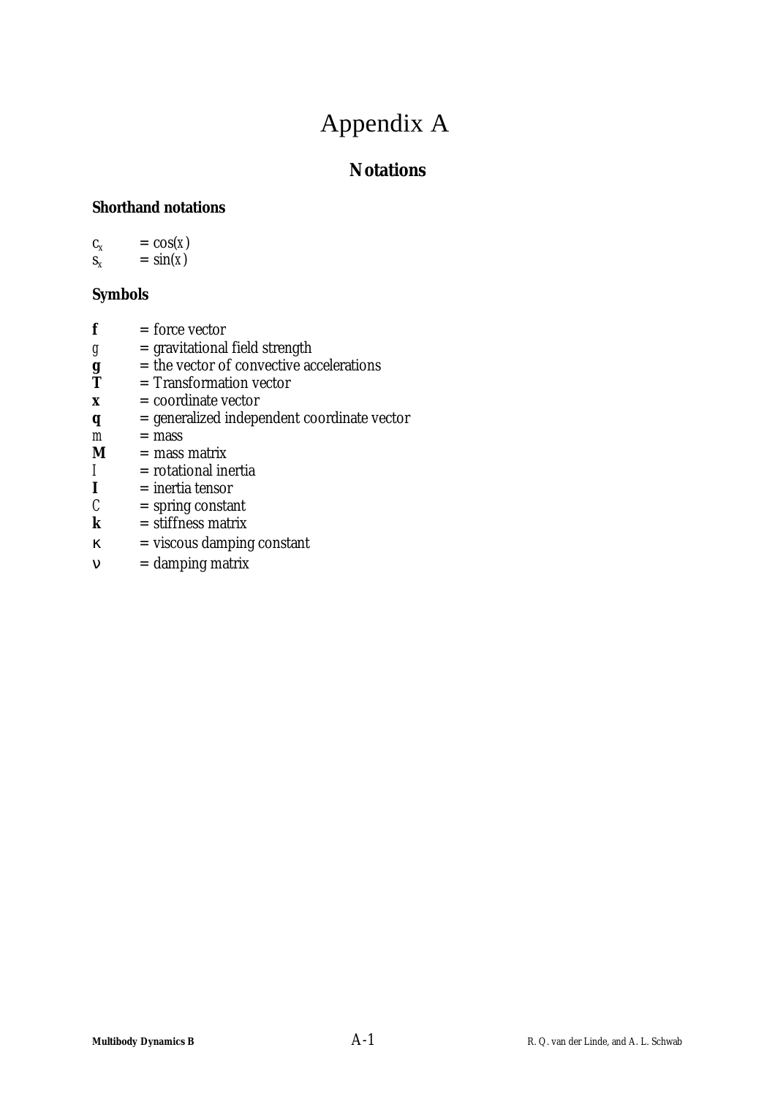## Appendix A

## **Notations**

## **Shorthand notations**

 $c_x$  =  $cos(x)$ 

 $s_x = \sin(x)$ 

## **Symbols**

- $f =$ force vector
- $g =$ gravitational field strength
- $\mathbf{g}$  = the vector of convective accelerations<br>  $\mathbf{T}$  = Transformation vector
- = Transformation vector
- *x* = coordinate vector
- *q* = generalized independent coordinate vector
- $m =$  mass
- $M =$  mass matrix
- $I =$ rotational inertia<br> $I =$ inertia tensor
- $I =$ inertia tensor<br>  $C =$ spring constal
- = spring constant
- $k =$ stiffness matrix
- $k$  = viscous damping constant
- $\mathbf{n}$  = damping matrix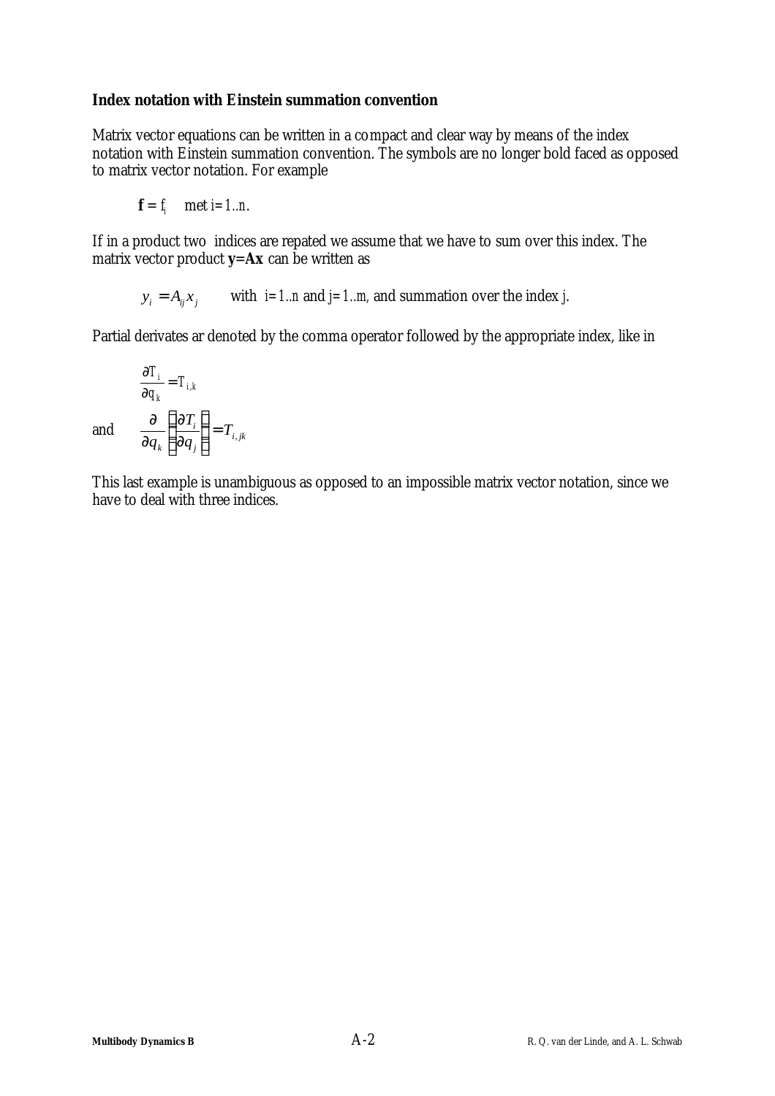### **Index notation with Einstein summation convention**

Matrix vector equations can be written in a compact and clear way by means of the index notation with Einstein summation convention. The symbols are no longer bold faced as opposed to matrix vector notation. For example

$$
f = f_i \quad \text{met } i = 1..n.
$$

If in a product two indices are repated we assume that we have to sum over this index. The matrix vector product *y*=*Ax* can be written as

 $y_i = A_{ij} x_j$  with *i=1..n* and *j=1..m*, and summation over the index *j*.

Partial derivates ar denoted by the comma operator followed by the appropriate index, like in

$$
\frac{\partial T_i}{\partial q_k} = T_{i,k}
$$
  
and 
$$
\frac{\partial}{\partial q_k} \left\{ \frac{\partial T_i}{\partial q_j} \right\} = T_{i,j,k}
$$

*k*

*j*

*T*

This last example is unambiguous as opposed to an impossible matrix vector notation, since we have to deal with three indices.